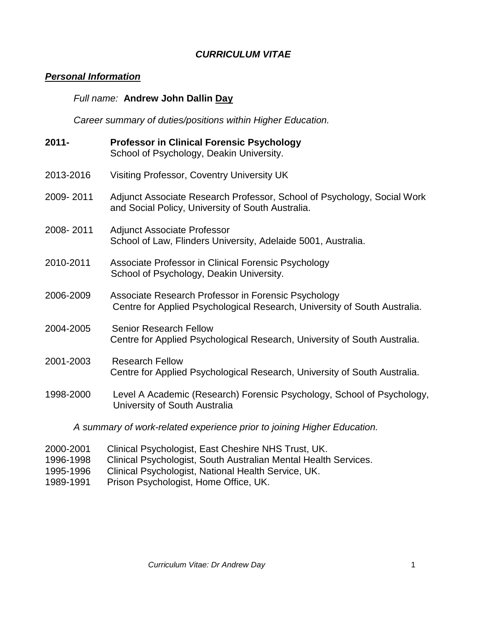# *CURRICULUM VITAE*

# *Personal Information*

# *Full name:* **Andrew John Dallin Day**

*Career summary of duties/positions within Higher Education.*

| $2011 -$                                                                | <b>Professor in Clinical Forensic Psychology</b><br>School of Psychology, Deakin University.                                     |
|-------------------------------------------------------------------------|----------------------------------------------------------------------------------------------------------------------------------|
| 2013-2016                                                               | Visiting Professor, Coventry University UK                                                                                       |
| 2009-2011                                                               | Adjunct Associate Research Professor, School of Psychology, Social Work<br>and Social Policy, University of South Australia.     |
| 2008-2011                                                               | <b>Adjunct Associate Professor</b><br>School of Law, Flinders University, Adelaide 5001, Australia.                              |
| 2010-2011                                                               | Associate Professor in Clinical Forensic Psychology<br>School of Psychology, Deakin University.                                  |
| 2006-2009                                                               | Associate Research Professor in Forensic Psychology<br>Centre for Applied Psychological Research, University of South Australia. |
| 2004-2005                                                               | <b>Senior Research Fellow</b><br>Centre for Applied Psychological Research, University of South Australia.                       |
| 2001-2003                                                               | <b>Research Fellow</b><br>Centre for Applied Psychological Research, University of South Australia.                              |
| 1998-2000                                                               | Level A Academic (Research) Forensic Psychology, School of Psychology,<br>University of South Australia                          |
| A summary of work-related experience prior to joining Higher Education. |                                                                                                                                  |
|                                                                         |                                                                                                                                  |

- 2000-2001 Clinical Psychologist, East Cheshire NHS Trust, UK.
- 1996-1998 Clinical Psychologist, South Australian Mental Health Services.
- 1995-1996 Clinical Psychologist, National Health Service, UK.<br>1989-1991 Prison Psychologist, Home Office, UK.
- Prison Psychologist, Home Office, UK.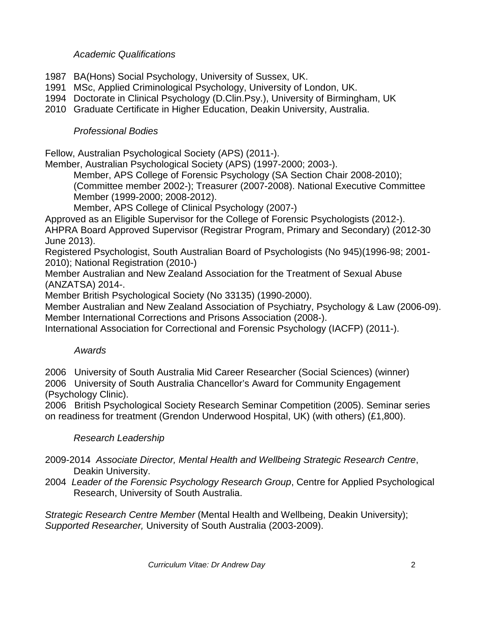### *Academic Qualifications*

- 1987 BA(Hons) Social Psychology, University of Sussex, UK.
- 1991 MSc, Applied Criminological Psychology, University of London, UK.
- 1994 Doctorate in Clinical Psychology (D.Clin.Psy.), University of Birmingham, UK
- 2010 Graduate Certificate in Higher Education, Deakin University, Australia.

# *Professional Bodies*

Fellow, Australian Psychological Society (APS) (2011-).

Member, Australian Psychological Society (APS) (1997-2000; 2003-).

Member, APS College of Forensic Psychology (SA Section Chair 2008-2010); (Committee member 2002-); Treasurer (2007-2008). National Executive Committee Member (1999-2000; 2008-2012).

Member, APS College of Clinical Psychology (2007-)

Approved as an Eligible Supervisor for the College of Forensic Psychologists (2012-). AHPRA Board Approved Supervisor (Registrar Program, Primary and Secondary) (2012-30 June 2013).

Registered Psychologist, South Australian Board of Psychologists (No 945)(1996-98; 2001- 2010); National Registration (2010-)

Member Australian and New Zealand Association for the Treatment of Sexual Abuse (ANZATSA) 2014-.

Member British Psychological Society (No 33135) (1990-2000).

Member Australian and New Zealand Association of Psychiatry, Psychology & Law (2006-09). Member International Corrections and Prisons Association (2008-).

International Association for Correctional and Forensic Psychology (IACFP) (2011-).

# *Awards*

2006 University of South Australia Mid Career Researcher (Social Sciences) (winner) 2006 University of South Australia Chancellor's Award for Community Engagement (Psychology Clinic).

2006 British Psychological Society Research Seminar Competition (2005). Seminar series on readiness for treatment (Grendon Underwood Hospital, UK) (with others) (£1,800).

# *Research Leadership*

- 2009-2014 *Associate Director, Mental Health and Wellbeing Strategic Research Centre*, Deakin University.
- 2004 *Leader of the Forensic Psychology Research Group*, Centre for Applied Psychological Research, University of South Australia.

*Strategic Research Centre Member* (Mental Health and Wellbeing, Deakin University); *Supported Researcher,* University of South Australia (2003-2009).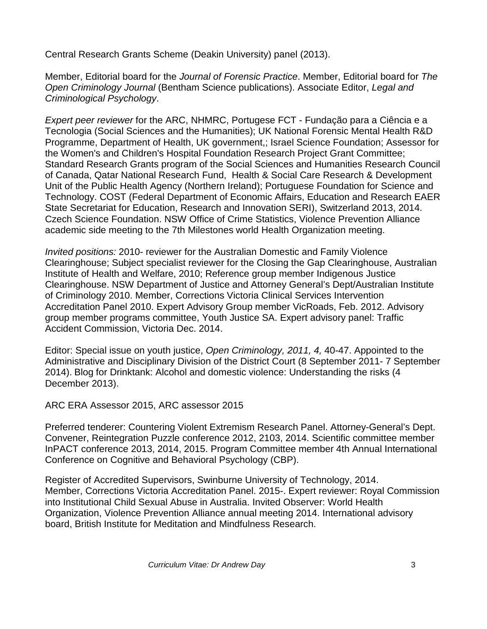Central Research Grants Scheme (Deakin University) panel (2013).

Member, Editorial board for the *Journal of Forensic Practice*. Member, Editorial board for *The Open Criminology Journal* (Bentham Science publications). Associate Editor, *Legal and Criminological Psychology*.

*Expert peer reviewer* for the ARC, NHMRC, Portugese FCT - Fundação para a Ciência e a Tecnologia (Social Sciences and the Humanities); UK National Forensic Mental Health R&D Programme, Department of Health, UK government,; Israel Science Foundation; Assessor for the Women's and Children's Hospital Foundation Research Project Grant Committee; Standard Research Grants program of the Social Sciences and Humanities Research Council of Canada, Qatar National Research Fund, Health & Social Care Research & Development Unit of the Public Health Agency (Northern Ireland); Portuguese Foundation for Science and Technology. COST (Federal Department of Economic Affairs, Education and Research EAER State Secretariat for Education, Research and Innovation SERI), Switzerland 2013, 2014. Czech Science Foundation. NSW Office of Crime Statistics, Violence Prevention Alliance academic side meeting to the 7th Milestones world Health Organization meeting.

*Invited positions:* 2010- reviewer for the Australian Domestic and Family Violence Clearinghouse; Subject specialist reviewer for the Closing the Gap Clearinghouse, Australian Institute of Health and Welfare, 2010; Reference group member Indigenous Justice Clearinghouse. NSW Department of Justice and Attorney General's Dept/Australian Institute of Criminology 2010. Member, Corrections Victoria Clinical Services Intervention Accreditation Panel 2010. Expert Advisory Group member VicRoads, Feb. 2012. Advisory group member programs committee, Youth Justice SA. Expert advisory panel: Traffic Accident Commission, Victoria Dec. 2014.

Editor: Special issue on youth justice, *Open Criminology, 2011, 4,* 40-47. Appointed to the Administrative and Disciplinary Division of the District Court (8 September 2011- 7 September 2014). Blog for Drinktank: Alcohol and domestic violence: Understanding the risks (4 December 2013).

ARC ERA Assessor 2015, ARC assessor 2015

Preferred tenderer: Countering Violent Extremism Research Panel. Attorney-General's Dept. Convener, Reintegration Puzzle conference 2012, 2103, 2014. Scientific committee member InPACT conference 2013, 2014, 2015. Program Committee member 4th Annual International Conference on Cognitive and Behavioral Psychology (CBP).

Register of Accredited Supervisors, Swinburne University of Technology, 2014. Member, Corrections Victoria Accreditation Panel. 2015-. Expert reviewer: Royal Commission into Institutional Child Sexual Abuse in Australia. Invited Observer: World Health Organization, Violence Prevention Alliance annual meeting 2014. International advisory board, British Institute for Meditation and Mindfulness Research.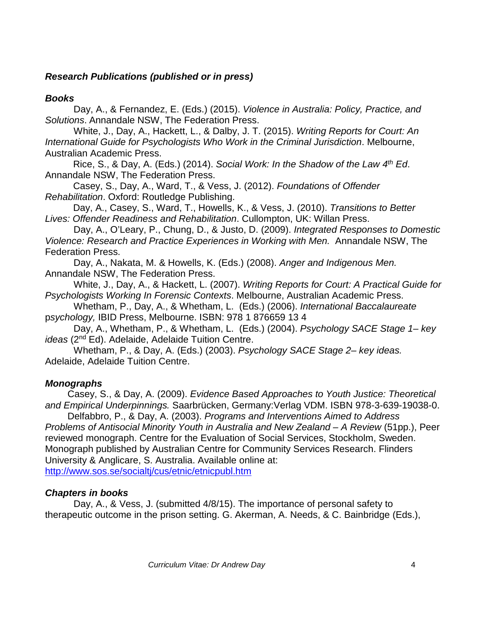# *Research Publications (published or in press)*

### *Books*

Day, A., & Fernandez, E. (Eds.) (2015). *Violence in Australia: Policy, Practice, and Solutions*. Annandale NSW, The Federation Press.

White, J., Day, A., Hackett, L., & Dalby, J. T. (2015). *Writing Reports for Court: An International Guide for Psychologists Who Work in the Criminal Jurisdiction*. Melbourne, Australian Academic Press.

Rice, S., & Day, A. (Eds.) (2014). *Social Work: In the Shadow of the Law 4th Ed*. Annandale NSW, The Federation Press.

Casey, S., Day, A., Ward, T., & Vess, J. (2012). *Foundations of Offender Rehabilitation*. Oxford: Routledge Publishing.

Day, A., Casey, S., Ward, T., Howells, K., & Vess, J. (2010). *Transitions to Better Lives: Offender Readiness and Rehabilitation*. Cullompton, UK: Willan Press.

Day, A., O'Leary, P., Chung, D., & Justo, D. (2009). *Integrated Responses to Domestic Violence: Research and Practice Experiences in Working with Men.* Annandale NSW, The Federation Press.

Day, A., Nakata, M. & Howells, K. (Eds.) (2008). *Anger and Indigenous Men.* Annandale NSW, The Federation Press.

White, J., Day, A., & Hackett, L. (2007). *Writing Reports for Court: A Practical Guide for Psychologists Working In Forensic Contexts*. Melbourne, Australian Academic Press.

Whetham, P., Day, A., & Whetham, L. (Eds.) (2006). *International Baccalaureate* p*sychology,* IBID Press, Melbourne. ISBN: 978 1 876659 13 4

Day, A., Whetham, P., & Whetham, L. (Eds.) (2004). *Psychology SACE Stage 1– key ideas* (2nd Ed). Adelaide, Adelaide Tuition Centre.

Whetham, P., & Day, A. (Eds.) (2003). *Psychology SACE Stage 2– key ideas.* Adelaide, Adelaide Tuition Centre.

# *Monographs*

Casey, S., & Day, A. (2009). *Evidence Based Approaches to Youth Justice: Theoretical and Empirical Underpinnings.* Saarbrücken, Germany:Verlag VDM. ISBN 978-3-639-19038-0.

Delfabbro, P., & Day, A. (2003). *Programs and Interventions Aimed to Address Problems of Antisocial Minority Youth in Australia and New Zealand – A Review* (51pp.), Peer reviewed monograph. Centre for the Evaluation of Social Services, Stockholm, Sweden. Monograph published by Australian Centre for Community Services Research. Flinders University & Anglicare, S. Australia. Available online at: <http://www.sos.se/socialtj/cus/etnic/etnicpubl.htm>

# *Chapters in books*

Day, A., & Vess, J. (submitted 4/8/15). The importance of personal safety to therapeutic outcome in the prison setting. G. Akerman, A. Needs, & C. Bainbridge (Eds.),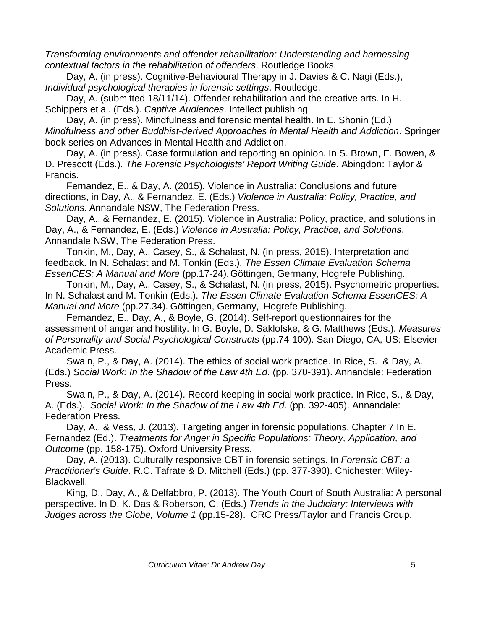*Transforming environments and offender rehabilitation: Understanding and harnessing contextual factors in the rehabilitation of offenders*. Routledge Books.

Day, A. (in press). Cognitive-Behavioural Therapy in J. Davies & C. Nagi (Eds.), *Individual psychological therapies in forensic settings*. Routledge.

Day, A. (submitted 18/11/14). Offender rehabilitation and the creative arts. In H. Schippers et al. (Eds.). *Captive Audiences*. Intellect publishing

Day, A. (in press). Mindfulness and forensic mental health. In E. Shonin (Ed.) *Mindfulness and other Buddhist-derived Approaches in Mental Health and Addiction*. Springer book series on Advances in Mental Health and Addiction.

Day, A. (in press). Case formulation and reporting an opinion. In S. Brown, E. Bowen, & D. Prescott (Eds.). *The Forensic Psychologists' Report Writing Guide*. Abingdon: Taylor & Francis.

Fernandez, E., & Day, A. (2015). Violence in Australia: Conclusions and future directions, in Day, A., & Fernandez, E. (Eds.) *Violence in Australia: Policy, Practice, and Solutions*. Annandale NSW, The Federation Press.

Day, A., & Fernandez, E. (2015). Violence in Australia: Policy, practice, and solutions in Day, A., & Fernandez, E. (Eds.) *Violence in Australia: Policy, Practice, and Solutions*. Annandale NSW, The Federation Press.

Tonkin, M., Day, A., Casey, S., & Schalast, N. (in press, 2015). Interpretation and feedback. In N. Schalast and M. Tonkin (Eds.). *The Essen Climate Evaluation Schema EssenCES: A Manual and More* (pp.17-24).Göttingen, Germany, Hogrefe Publishing.

Tonkin, M., Day, A., Casey, S., & Schalast, N. (in press, 2015). Psychometric properties. In N. Schalast and M. Tonkin (Eds.). *The Essen Climate Evaluation Schema EssenCES: A Manual and More* (pp.27.34). Göttingen, Germany, Hogrefe Publishing.

Fernandez, E., Day, A., & Boyle, G. (2014). Self-report questionnaires for the assessment of anger and hostility. In G. Boyle, D. Saklofske, & G. Matthews (Eds.). *Measures of Personality and Social Psychological Constructs* (pp.74-100). San Diego, CA, US: Elsevier Academic Press.

Swain, P., & Day, A. (2014). The ethics of social work practice. In Rice, S. & Day, A. (Eds.) *Social Work: In the Shadow of the Law 4th Ed*. (pp. 370-391). Annandale: Federation Press.

Swain, P., & Day, A. (2014). Record keeping in social work practice. In Rice, S., & Day, A. (Eds.). *Social Work: In the Shadow of the Law 4th Ed*. (pp. 392-405). Annandale: Federation Press.

Day, A., & Vess, J. (2013). Targeting anger in forensic populations. Chapter 7 In E. Fernandez (Ed.). *Treatments for Anger in Specific Populations: Theory, Application, and Outcome* (pp. 158-175). Oxford University Press.

Day, A. (2013). Culturally responsive CBT in forensic settings. In *Forensic CBT: a Practitioner's Guide*. R.C. Tafrate & D. Mitchell (Eds.) (pp. 377-390). Chichester: Wiley-Blackwell.

King, D., Day, A., & Delfabbro, P. (2013). The Youth Court of South Australia: A personal perspective. In D. K. Das & Roberson, C. (Eds.) *Trends in the Judiciary: Interviews with Judges across the Globe, Volume 1* (pp.15-28). CRC Press/Taylor and Francis Group.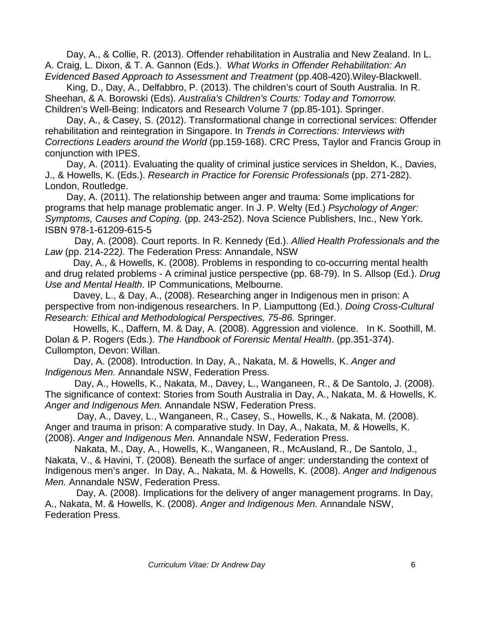Day, A., & Collie, R. (2013). Offender rehabilitation in Australia and New Zealand. In L. A. Craig, L. Dixon, & T. A. Gannon (Eds.). *What Works in Offender Rehabilitation: An Evidenced Based Approach to Assessment and Treatment* (pp.408-420).Wiley-Blackwell.

King, D., Day, A., Delfabbro, P. (2013). The children's court of South Australia. In R. Sheehan, & A. Borowski (Eds). *Australia's Children's Courts: Today and Tomorrow.*  Children's Well-Being: Indicators and Research Volume 7 (pp.85-101). Springer.

Day, A., & Casey, S. (2012). Transformational change in correctional services: Offender rehabilitation and reintegration in Singapore. In *Trends in Corrections: Interviews with Corrections Leaders around the World* (pp.159-168). CRC Press, Taylor and Francis Group in conjunction with IPES.

Day, A. (2011). Evaluating the quality of criminal justice services in Sheldon, K., Davies, J., & Howells, K. (Eds.). *Research in Practice for Forensic Professionals* (pp. 271-282). London, Routledge.

Day, A. (2011). The relationship between anger and trauma: Some implications for programs that help manage problematic anger. In J. P. Welty (Ed.) *Psychology of Anger: Symptoms, Causes and Coping.* (pp. 243-252). Nova Science Publishers, Inc., New York. ISBN 978-1-61209-615-5

 Day, A. (2008). Court reports. In R. Kennedy (Ed.). *Allied Health Professionals and the Law* (pp. 214-222*).* The Federation Press: Annandale, NSW

Day, A., & Howells, K. (2008). Problems in responding to co-occurring mental health and drug related problems - A criminal justice perspective (pp. 68-79). In S. Allsop (Ed.). *Drug Use and Mental Health*. IP Communications, Melbourne.

Davey, L., & Day, A., (2008). Researching anger in Indigenous men in prison: A perspective from non-indigenous researchers. In P. Liamputtong (Ed.). *Doing Cross-Cultural Research: Ethical and Methodological Perspectives, 75-86.* Springer.

Howells, K., Daffern, M. & Day, A. (2008). Aggression and violence. In K. Soothill, M. Dolan & P. Rogers (Eds.). *The Handbook of Forensic Mental Health*. (pp.351-374). Cullompton, Devon: Willan.

Day, A. (2008). Introduction. In Day, A., Nakata, M. & Howells, K. *Anger and Indigenous Men.* Annandale NSW, Federation Press.

 Day, A., Howells, K., Nakata, M., Davey, L., Wanganeen, R., & De Santolo, J. (2008). The significance of context: Stories from South Australia in Day, A., Nakata, M. & Howells, K. *Anger and Indigenous Men.* Annandale NSW, Federation Press.

 Day, A., Davey, L., Wanganeen, R., Casey, S., Howells, K., & Nakata, M. (2008). Anger and trauma in prison: A comparative study. In Day, A., Nakata, M. & Howells, K. (2008). *Anger and Indigenous Men.* Annandale NSW, Federation Press.

 Nakata, M., Day, A., Howells, K., Wanganeen, R., McAusland, R., De Santolo, J., Nakata, V., & Havini, T. (2008). Beneath the surface of anger: understanding the context of Indigenous men's anger. In Day, A., Nakata, M. & Howells, K. (2008). *Anger and Indigenous Men.* Annandale NSW, Federation Press.

Day, A. (2008). Implications for the delivery of anger management programs. In Day, A., Nakata, M. & Howells, K. (2008). *Anger and Indigenous Men.* Annandale NSW, Federation Press.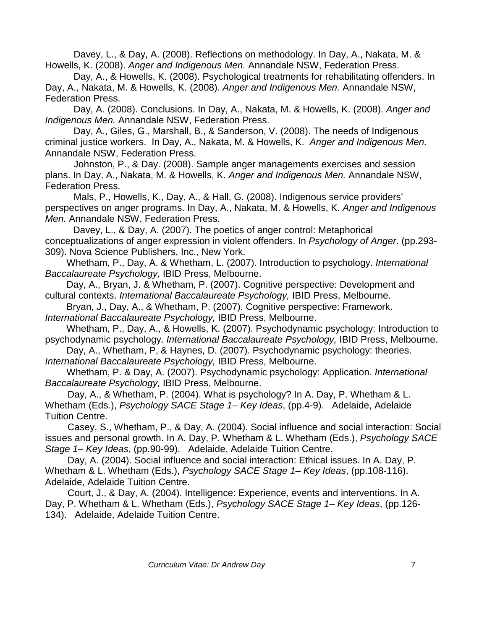Davey, L., & Day, A. (2008). Reflections on methodology. In Day, A., Nakata, M. & Howells, K. (2008). *Anger and Indigenous Men.* Annandale NSW, Federation Press.

Day, A., & Howells, K. (2008). Psychological treatments for rehabilitating offenders. In Day, A., Nakata, M. & Howells, K. (2008). *Anger and Indigenous Men.* Annandale NSW, Federation Press.

Day, A. (2008). Conclusions. In Day, A., Nakata, M. & Howells, K. (2008). *Anger and Indigenous Men.* Annandale NSW, Federation Press.

Day, A., Giles, G., Marshall, B., & Sanderson, V. (2008). The needs of Indigenous criminal justice workers. In Day, A., Nakata, M. & Howells, K. *Anger and Indigenous Men.* Annandale NSW, Federation Press.

Johnston, P., & Day. (2008). Sample anger managements exercises and session plans. In Day, A., Nakata, M. & Howells, K. *Anger and Indigenous Men.* Annandale NSW, Federation Press.

Mals, P., Howells, K., Day, A., & Hall, G. (2008). Indigenous service providers' perspectives on anger programs. In Day, A., Nakata, M. & Howells, K. *Anger and Indigenous Men.* Annandale NSW, Federation Press.

Davey, L., & Day, A. (2007). The poetics of anger control: Metaphorical conceptualizations of anger expression in violent offenders. In *Psychology of Anger*. (pp.293- 309). Nova Science Publishers, Inc., New York.

Whetham, P., Day, A. & Whetham, L. (2007). Introduction to psychology. *International Baccalaureate Psychology,* IBID Press, Melbourne.

Day, A., Bryan, J. & Whetham, P. (2007). Cognitive perspective: Development and cultural contexts. *International Baccalaureate Psychology,* IBID Press, Melbourne.

Bryan, J., Day, A., & Whetham, P. (2007). Cognitive perspective: Framework. *International Baccalaureate Psychology,* IBID Press, Melbourne.

Whetham, P., Day, A., & Howells, K. (2007). Psychodynamic psychology: Introduction to psychodynamic psychology. *International Baccalaureate Psychology,* IBID Press, Melbourne.

Day, A., Whetham, P, & Haynes, D. (2007). Psychodynamic psychology: theories. *International Baccalaureate Psychology,* IBID Press, Melbourne.

Whetham, P. & Day, A. (2007). Psychodynamic psychology: Application. *International Baccalaureate Psychology,* IBID Press, Melbourne.

Day, A., & Whetham, P. (2004). What is psychology? In A. Day, P. Whetham & L. Whetham (Eds.), *Psychology SACE Stage 1– Key Ideas*, (pp.4-9). Adelaide, Adelaide Tuition Centre.

Casey, S., Whetham, P., & Day, A. (2004). Social influence and social interaction: Social issues and personal growth. In A. Day, P. Whetham & L. Whetham (Eds.), *Psychology SACE Stage 1– Key Ideas*, (pp.90-99). Adelaide, Adelaide Tuition Centre.

Day, A. (2004). Social influence and social interaction: Ethical issues. In A. Day, P. Whetham & L. Whetham (Eds.), *Psychology SACE Stage 1– Key Ideas*, (pp.108-116). Adelaide, Adelaide Tuition Centre.

Court, J., & Day, A. (2004). Intelligence: Experience, events and interventions. In A. Day, P. Whetham & L. Whetham (Eds.), *Psychology SACE Stage 1– Key Ideas*, (pp.126- 134). Adelaide, Adelaide Tuition Centre.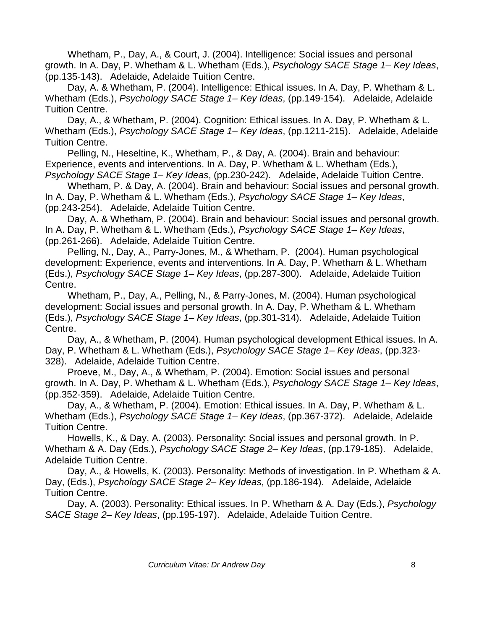Whetham, P., Day, A., & Court, J. (2004). Intelligence: Social issues and personal growth. In A. Day, P. Whetham & L. Whetham (Eds.), *Psychology SACE Stage 1– Key Ideas*, (pp.135-143). Adelaide, Adelaide Tuition Centre.

Day, A. & Whetham, P. (2004). Intelligence: Ethical issues. In A. Day, P. Whetham & L. Whetham (Eds.), *Psychology SACE Stage 1– Key Ideas*, (pp.149-154). Adelaide, Adelaide Tuition Centre.

Day, A., & Whetham, P. (2004). Cognition: Ethical issues. In A. Day, P. Whetham & L. Whetham (Eds.), *Psychology SACE Stage 1– Key Ideas*, (pp.1211-215). Adelaide, Adelaide Tuition Centre.

Pelling, N., Heseltine, K., Whetham, P., & Day, A. (2004). Brain and behaviour: Experience, events and interventions. In A. Day, P. Whetham & L. Whetham (Eds.), *Psychology SACE Stage 1– Key Ideas*, (pp.230-242). Adelaide, Adelaide Tuition Centre.

Whetham, P. & Day, A. (2004). Brain and behaviour: Social issues and personal growth. In A. Day, P. Whetham & L. Whetham (Eds.), *Psychology SACE Stage 1– Key Ideas*, (pp.243-254). Adelaide, Adelaide Tuition Centre.

Day, A. & Whetham, P. (2004). Brain and behaviour: Social issues and personal growth. In A. Day, P. Whetham & L. Whetham (Eds.), *Psychology SACE Stage 1– Key Ideas*, (pp.261-266). Adelaide, Adelaide Tuition Centre.

Pelling, N., Day, A., Parry-Jones, M., & Whetham, P. (2004). Human psychological development: Experience, events and interventions. In A. Day, P. Whetham & L. Whetham (Eds.), *Psychology SACE Stage 1– Key Ideas*, (pp.287-300). Adelaide, Adelaide Tuition Centre.

Whetham, P., Day, A., Pelling, N., & Parry-Jones, M. (2004). Human psychological development: Social issues and personal growth. In A. Day, P. Whetham & L. Whetham (Eds.), *Psychology SACE Stage 1– Key Ideas*, (pp.301-314). Adelaide, Adelaide Tuition Centre.

Day, A., & Whetham, P. (2004). Human psychological development Ethical issues. In A. Day, P. Whetham & L. Whetham (Eds.), *Psychology SACE Stage 1– Key Ideas*, (pp.323- 328). Adelaide, Adelaide Tuition Centre.

Proeve, M., Day, A., & Whetham, P. (2004). Emotion: Social issues and personal growth. In A. Day, P. Whetham & L. Whetham (Eds.), *Psychology SACE Stage 1– Key Ideas*, (pp.352-359). Adelaide, Adelaide Tuition Centre.

Day, A., & Whetham, P. (2004). Emotion: Ethical issues. In A. Day, P. Whetham & L. Whetham (Eds.), *Psychology SACE Stage 1– Key Ideas*, (pp.367-372). Adelaide, Adelaide Tuition Centre.

Howells, K., & Day, A. (2003). Personality: Social issues and personal growth. In P. Whetham & A. Day (Eds.), *Psychology SACE Stage 2– Key Ideas*, (pp.179-185). Adelaide, Adelaide Tuition Centre.

Day, A., & Howells, K. (2003). Personality: Methods of investigation. In P. Whetham & A. Day, (Eds.), *Psychology SACE Stage 2– Key Ideas*, (pp.186-194). Adelaide, Adelaide Tuition Centre.

Day, A. (2003). Personality: Ethical issues. In P. Whetham & A. Day (Eds.), *Psychology SACE Stage 2– Key Ideas*, (pp.195-197). Adelaide, Adelaide Tuition Centre.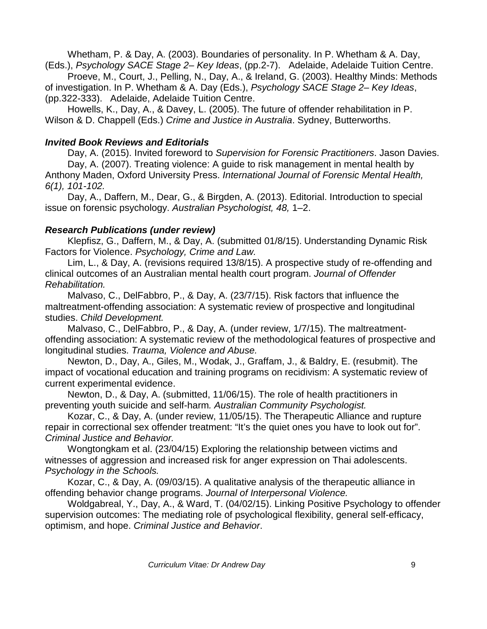Whetham, P. & Day, A. (2003). Boundaries of personality. In P. Whetham & A. Day, (Eds.), *Psychology SACE Stage 2– Key Ideas*, (pp.2-7). Adelaide, Adelaide Tuition Centre.

Proeve, M., Court, J., Pelling, N., Day, A., & Ireland, G. (2003). Healthy Minds: Methods of investigation. In P. Whetham & A. Day (Eds.), *Psychology SACE Stage 2– Key Ideas*, (pp.322-333). Adelaide, Adelaide Tuition Centre.

Howells, K., Day, A., & Davey, L. (2005). The future of offender rehabilitation in P. Wilson & D. Chappell (Eds.) *Crime and Justice in Australia*. Sydney, Butterworths.

### *Invited Book Reviews and Editorials*

Day, A. (2015). Invited foreword to *Supervision for Forensic Practitioners*. Jason Davies. Day, A. (2007). Treating violence: A guide to risk management in mental health by Anthony Maden, Oxford University Press. *International Journal of Forensic Mental Health, 6(1), 101-102.*

Day, A., Daffern, M., Dear, G., & Birgden, A. (2013). Editorial. Introduction to special issue on forensic psychology. *Australian Psychologist, 48,* 1–2.

### *Research Publications (under review)*

Klepfisz, G., Daffern, M., & Day, A. (submitted 01/8/15). Understanding Dynamic Risk Factors for Violence. *Psychology, Crime and Law.*

Lim, L., & Day, A. (revisions required 13/8/15). A prospective study of re-offending and clinical outcomes of an Australian mental health court program. *Journal of Offender Rehabilitation.*

Malvaso, C., DelFabbro, P., & Day, A. (23/7/15). Risk factors that influence the maltreatment-offending association: A systematic review of prospective and longitudinal studies. *Child Development.*

Malvaso, C., DelFabbro, P., & Day, A. (under review, 1/7/15). The maltreatmentoffending association: A systematic review of the methodological features of prospective and longitudinal studies. *Trauma, Violence and Abuse.*

Newton, D., Day, A., Giles, M., Wodak, J., Graffam, J., & Baldry, E. (resubmit). The impact of vocational education and training programs on recidivism: A systematic review of current experimental evidence.

Newton, D., & Day, A. (submitted, 11/06/15). The role of health practitioners in preventing youth suicide and self-harm*. Australian Community Psychologist.*

Kozar, C., & Day, A. (under review, 11/05/15). The Therapeutic Alliance and rupture repair in correctional sex offender treatment: "It's the quiet ones you have to look out for". *Criminal Justice and Behavior.*

Wongtongkam et al. (23/04/15) Exploring the relationship between victims and witnesses of aggression and increased risk for anger expression on Thai adolescents. *Psychology in the Schools.*

Kozar, C., & Day, A. (09/03/15). A qualitative analysis of the therapeutic alliance in offending behavior change programs. *Journal of Interpersonal Violence.*

Woldgabreal, Y., Day, A., & Ward, T. (04/02/15). Linking Positive Psychology to offender supervision outcomes: The mediating role of psychological flexibility, general self-efficacy, optimism, and hope. *Criminal Justice and Behavior*.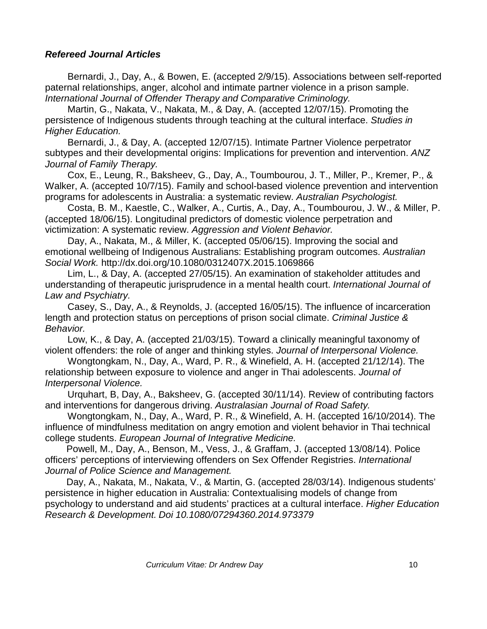### *Refereed Journal Articles*

Bernardi, J., Day, A., & Bowen, E. (accepted 2/9/15). Associations between self-reported paternal relationships, anger, alcohol and intimate partner violence in a prison sample. *International Journal of Offender Therapy and Comparative Criminology.*

Martin, G., Nakata, V., Nakata, M., & Day, A. (accepted 12/07/15). Promoting the persistence of Indigenous students through teaching at the cultural interface. *Studies in Higher Education.*

Bernardi, J., & Day, A. (accepted 12/07/15). Intimate Partner Violence perpetrator subtypes and their developmental origins: Implications for prevention and intervention. *ANZ Journal of Family Therapy.*

Cox, E., Leung, R., Baksheev, G., Day, A., Toumbourou, J. T., Miller, P., Kremer, P., & Walker, A. (accepted 10/7/15). Family and school-based violence prevention and intervention programs for adolescents in Australia: a systematic review. *Australian Psychologist.*

Costa, B. M., Kaestle, C., Walker, A., Curtis, A., Day, A., Toumbourou, J. W., & Miller, P. (accepted 18/06/15). Longitudinal predictors of domestic violence perpetration and victimization: A systematic review. *Aggression and Violent Behavior.*

Day, A., Nakata, M., & Miller, K. (accepted 05/06/15). Improving the social and emotional wellbeing of Indigenous Australians: Establishing program outcomes. *Australian Social Work.* http://dx.doi.org/10.1080/0312407X.2015.1069866

Lim, L., & Day, A. (accepted 27/05/15). An examination of stakeholder attitudes and understanding of therapeutic jurisprudence in a mental health court. *International Journal of Law and Psychiatry.* 

Casey, S., Day, A., & Reynolds, J. (accepted 16/05/15). The influence of incarceration length and protection status on perceptions of prison social climate. *Criminal Justice & Behavior.*

Low, K., & Day, A. (accepted 21/03/15). Toward a clinically meaningful taxonomy of violent offenders: the role of anger and thinking styles. *Journal of Interpersonal Violence.*

Wongtongkam, N., Day, A., Ward, P. R., & Winefield, A. H. (accepted 21/12/14). The relationship between exposure to violence and anger in Thai adolescents. *Journal of Interpersonal Violence.*

Urquhart, B, Day, A., Baksheev, G. (accepted 30/11/14). Review of contributing factors and interventions for dangerous driving. *Australasian Journal of Road Safety.*

Wongtongkam, N., Day, A., Ward, P. R., & Winefield, A. H. (accepted 16/10/2014). The influence of mindfulness meditation on angry emotion and violent behavior in Thai technical college students. *European Journal of Integrative Medicine.*

Powell, M., Day, A., Benson, M., Vess, J., & Graffam, J. (accepted 13/08/14). Police officers' perceptions of interviewing offenders on Sex Offender Registries. *International Journal of Police Science and Management.*

Day, A., Nakata, M., Nakata, V., & Martin, G. (accepted 28/03/14). Indigenous students' persistence in higher education in Australia: Contextualising models of change from psychology to understand and aid students' practices at a cultural interface. *Higher Education Research & Development. Doi 10.1080/07294360.2014.973379*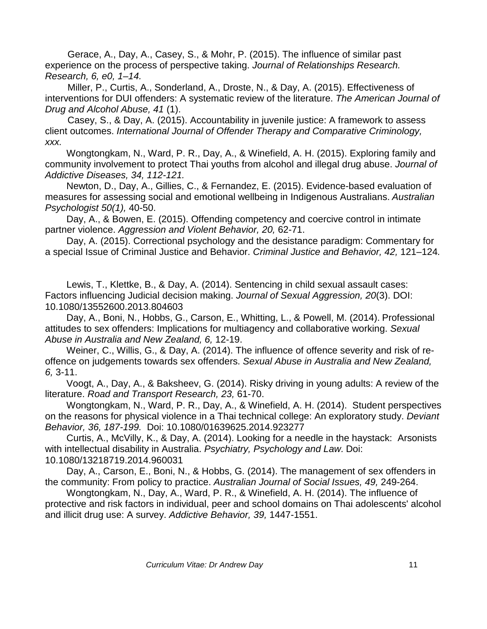Gerace, A., Day, A., Casey, S., & Mohr, P. (2015). The influence of similar past experience on the process of perspective taking. *Journal of Relationships Research. Research, 6, e0, 1–14.*

Miller, P., Curtis, A., Sonderland, A., Droste, N., & Day, A. (2015). Effectiveness of interventions for DUI offenders: A systematic review of the literature. *The American Journal of Drug and Alcohol Abuse, 41* (1).

Casey, S., & Day, A. (2015). Accountability in juvenile justice: A framework to assess client outcomes. *International Journal of Offender Therapy and Comparative Criminology, xxx.*

Wongtongkam, N., Ward, P. R., Day, A., & Winefield, A. H. (2015). Exploring family and community involvement to protect Thai youths from alcohol and illegal drug abuse. *Journal of Addictive Diseases, 34, 112-121.*

Newton, D., Day, A., Gillies, C., & Fernandez, E. (2015). Evidence-based evaluation of measures for assessing social and emotional wellbeing in Indigenous Australians. *Australian Psychologist 50(1),* 40-50.

Day, A., & Bowen, E. (2015). Offending competency and coercive control in intimate partner violence. *Aggression and Violent Behavior, 20,* 62-71.

Day, A. (2015). Correctional psychology and the desistance paradigm: Commentary for a special Issue of Criminal Justice and Behavior. *Criminal Justice and Behavior, 42,* 121–124*.*

Lewis, T., Klettke, B., & Day, A. (2014). Sentencing in child sexual assault cases: Factors influencing Judicial decision making. *Journal of Sexual Aggression, 20*(3). DOI: 10.1080/13552600.2013.804603

Day, A., Boni, N., Hobbs, G., Carson, E., Whitting, L., & Powell, M. (2014). Professional attitudes to sex offenders: Implications for multiagency and collaborative working. *Sexual Abuse in Australia and New Zealand, 6,* 12-19.

Weiner, C., Willis, G., & Day, A. (2014). The influence of offence severity and risk of reoffence on judgements towards sex offenders. *Sexual Abuse in Australia and New Zealand, 6,* 3-11.

Voogt, A., Day, A., & Baksheev, G. (2014). Risky driving in young adults: A review of the literature. *Road and Transport Research, 23,* 61-70.

Wongtongkam, N., Ward, P. R., Day, A., & Winefield, A. H. (2014). Student perspectives on the reasons for physical violence in a Thai technical college: An exploratory study. *Deviant Behavior, 36, 187-199.* Doi: 10.1080/01639625.2014.923277

Curtis, A., McVilly, K., & Day, A. (2014). Looking for a needle in the haystack: Arsonists with intellectual disability in Australia. *Psychiatry, Psychology and Law.* Doi: 10.1080/13218719.2014.960031

Day, A., Carson, E., Boni, N., & Hobbs, G. (2014). The management of sex offenders in the community: From policy to practice. *Australian Journal of Social Issues, 49,* 249-264.

Wongtongkam, N., Day, A., Ward, P. R., & Winefield, A. H. (2014). The influence of protective and risk factors in individual, peer and school domains on Thai adolescents' alcohol and illicit drug use: A survey. *Addictive Behavior, 39,* 1447-1551.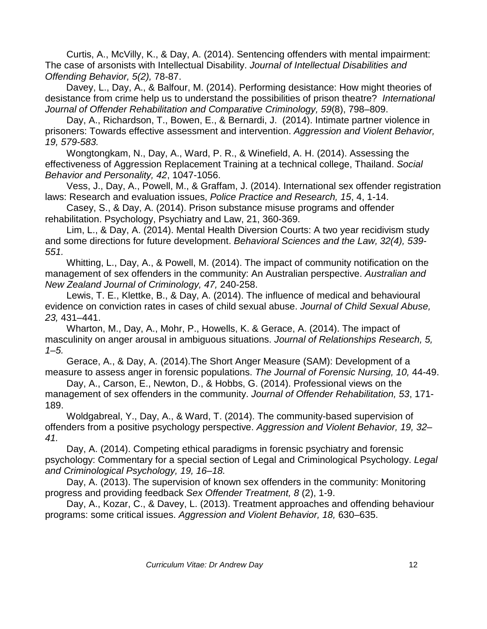Curtis, A., McVilly, K., & Day, A. (2014). Sentencing offenders with mental impairment: The case of arsonists with Intellectual Disability. *Journal of Intellectual Disabilities and Offending Behavior, 5(2),* 78-87.

 Davey, L., Day, A., & Balfour, M. (2014). Performing desistance: How might theories of desistance from crime help us to understand the possibilities of prison theatre? *International Journal of Offender Rehabilitation and Comparative Criminology, 59*(8), 798–809.

Day, A., Richardson, T., Bowen, E., & Bernardi, J. (2014). Intimate partner violence in prisoners: Towards effective assessment and intervention. *Aggression and Violent Behavior, 19, 579-583.*

Wongtongkam, N., Day, A., Ward, P. R., & Winefield, A. H. (2014). Assessing the effectiveness of Aggression Replacement Training at a technical college, Thailand. *Social Behavior and Personality, 42*, 1047-1056.

Vess, J., Day, A., Powell, M., & Graffam, J. (2014). International sex offender registration laws: Research and evaluation issues, *Police Practice and Research, 15*, 4, 1-14.

Casey, S., & Day, A. (2014). Prison substance misuse programs and offender rehabilitation. Psychology, Psychiatry and Law, 21, 360-369.

Lim, L., & Day, A. (2014). Mental Health Diversion Courts: A two year recidivism study and some directions for future development. *Behavioral Sciences and the Law, 32(4), 539- 551.*

Whitting, L., Day, A., & Powell, M. (2014). The impact of community notification on the management of sex offenders in the community: An Australian perspective. *Australian and New Zealand Journal of Criminology, 47,* 240-258.

Lewis, T. E., Klettke, B., & Day, A. (2014). The influence of medical and behavioural evidence on conviction rates in cases of child sexual abuse. *Journal of Child Sexual Abuse, 23,* 431–441.

Wharton, M., Day, A., Mohr, P., Howells, K. & Gerace, A. (2014). The impact of masculinity on anger arousal in ambiguous situations. *Journal of Relationships Research, 5, 1–5.*

Gerace, A., & Day, A. (2014).The Short Anger Measure (SAM): Development of a measure to assess anger in forensic populations. *The Journal of Forensic Nursing, 10,* 44-49.

Day, A., Carson, E., Newton, D., & Hobbs, G. (2014). Professional views on the management of sex offenders in the community. *Journal of Offender Rehabilitation, 53*, 171- 189.

Woldgabreal, Y., Day, A., & Ward, T. (2014). The community-based supervision of offenders from a positive psychology perspective. *Aggression and Violent Behavior, 19, 32– 41.*

Day, A. (2014). Competing ethical paradigms in forensic psychiatry and forensic psychology: Commentary for a special section of Legal and Criminological Psychology. *Legal and Criminological Psychology, 19, 16–18.*

Day, A. (2013). The supervision of known sex offenders in the community: Monitoring progress and providing feedback *Sex Offender Treatment, 8* (2), 1-9.

Day, A., Kozar, C., & Davey, L. (2013). Treatment approaches and offending behaviour programs: some critical issues. *Aggression and Violent Behavior, 18,* 630–635.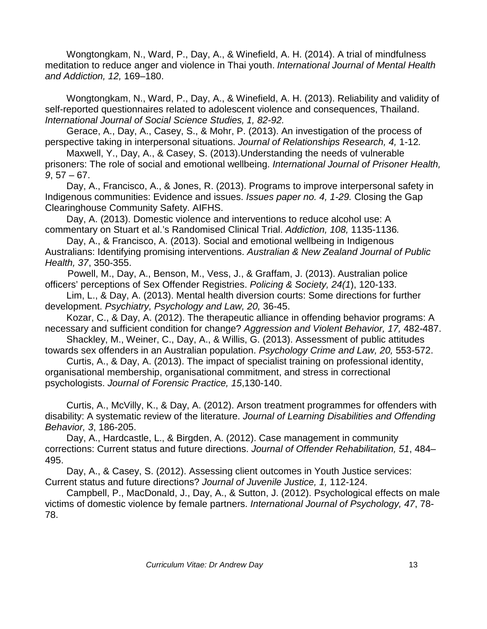Wongtongkam, N., Ward, P., Day, A., & Winefield, A. H. (2014). A trial of mindfulness meditation to reduce anger and violence in Thai youth. *International Journal of Mental Health and Addiction, 12,* 169–180.

Wongtongkam, N., Ward, P., Day, A., & Winefield, A. H. (2013). Reliability and validity of self-reported questionnaires related to adolescent violence and consequences, Thailand. *International Journal of Social Science Studies, 1, 82-92.*

Gerace, A., Day, A., Casey, S., & Mohr, P. (2013). An investigation of the process of perspective taking in interpersonal situations. *Journal of Relationships Research, 4,* 1-12*.*

Maxwell, Y., Day, A., & Casey, S. (2013).Understanding the needs of vulnerable prisoners: The role of social and emotional wellbeing. *International Journal of Prisoner Health, 9*, 57 – 67.

Day, A., Francisco, A., & Jones, R. (2013). Programs to improve interpersonal safety in Indigenous communities: Evidence and issues. *Issues paper no. 4, 1-29.* Closing the Gap Clearinghouse Community Safety. AIFHS.

Day, A. (2013). Domestic violence and interventions to reduce alcohol use: A commentary on Stuart et al.'s Randomised Clinical Trial. *Addiction, 108,* 1135-1136*.*

Day, A., & Francisco, A. (2013). Social and emotional wellbeing in Indigenous Australians: Identifying promising interventions. *Australian & New Zealand Journal of Public Health, 37*, 350-355.

Powell, M., Day, A., Benson, M., Vess, J., & Graffam, J. (2013). Australian police officers' perceptions of Sex Offender Registries. *Policing & Society, 24(1*), 120-133.

Lim, L., & Day, A. (2013). Mental health diversion courts: Some directions for further development. *Psychiatry, Psychology and Law, 20,* 36-45.

Kozar, C., & Day, A. (2012). The therapeutic alliance in offending behavior programs: A necessary and sufficient condition for change? *Aggression and Violent Behavior, 17,* 482-487.

Shackley, M., Weiner, C., Day, A., & Willis, G. (2013). Assessment of public attitudes towards sex offenders in an Australian population. *Psychology Crime and Law, 20,* 553-572.

Curtis, A., & Day, A. (2013). The impact of specialist training on professional identity, organisational membership, organisational commitment, and stress in correctional psychologists. *Journal of Forensic Practice, 15*,130-140.

Curtis, A., McVilly, K., & Day, A. (2012). Arson treatment programmes for offenders with disability: A systematic review of the literature. *Journal of Learning Disabilities and Offending Behavior, 3*, 186-205.

Day, A., Hardcastle, L., & Birgden, A. (2012). Case management in community corrections: Current status and future directions. *Journal of Offender Rehabilitation, 51*, 484– 495.

Day, A., & Casey, S. (2012). Assessing client outcomes in Youth Justice services: Current status and future directions? *Journal of Juvenile Justice, 1,* 112-124.

Campbell, P., MacDonald, J., Day, A., & Sutton, J. (2012). Psychological effects on male victims of domestic violence by female partners. *International Journal of Psychology, 47*, 78- 78.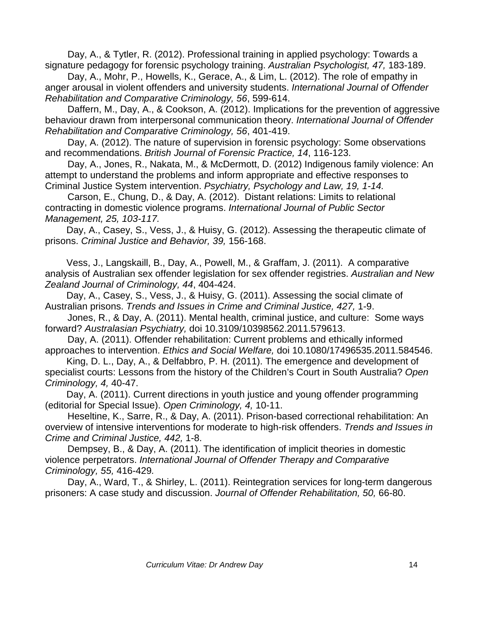Day, A., & Tytler, R. (2012). Professional training in applied psychology: Towards a signature pedagogy for forensic psychology training. *Australian Psychologist, 47,* 183-189.

Day, A., Mohr, P., Howells, K., Gerace, A., & Lim, L. (2012). The role of empathy in anger arousal in violent offenders and university students. *International Journal of Offender Rehabilitation and Comparative Criminology, 56*, 599-614.

Daffern, M., Day, A., & Cookson, A. (2012). Implications for the prevention of aggressive behaviour drawn from interpersonal communication theory. *International Journal of Offender Rehabilitation and Comparative Criminology, 56*, 401-419.

Day, A. (2012). The nature of supervision in forensic psychology: Some observations and recommendations. *British Journal of Forensic Practice, 14*, 116-123.

Day, A., Jones, R., Nakata, M., & McDermott, D. (2012) Indigenous family violence: An attempt to understand the problems and inform appropriate and effective responses to Criminal Justice System intervention. *Psychiatry, Psychology and Law, 19, 1-14.*

Carson, E., Chung, D., & Day, A. (2012). Distant relations: Limits to relational contracting in domestic violence programs. *International Journal of Public Sector Management, 25, 103-117.*

Day, A., Casey, S., Vess, J., & Huisy, G. (2012). Assessing the therapeutic climate of prisons. *Criminal Justice and Behavior, 39,* 156-168.

Vess, J., Langskaill, B., Day, A., Powell, M., & Graffam, J. (2011). A comparative analysis of Australian sex offender legislation for sex offender registries. *Australian and New Zealand Journal of Criminology, 44*, 404-424.

Day, A., Casey, S., Vess, J., & Huisy, G. (2011). Assessing the social climate of Australian prisons. *Trends and Issues in Crime and Criminal Justice, 427,* 1-9.

Jones, R., & Day, A. (2011). Mental health, criminal justice, and culture: Some ways forward? *Australasian Psychiatry,* doi 10.3109/10398562.2011.579613.

Day, A. (2011). Offender rehabilitation: Current problems and ethically informed approaches to intervention. *Ethics and Social Welfare,* doi 10.1080/17496535.2011.584546.

King, D. L., Day, A., & Delfabbro, P. H. (2011). The emergence and development of specialist courts: Lessons from the history of the Children's Court in South Australia? *Open Criminology, 4,* 40-47.

Day, A. (2011). Current directions in youth justice and young offender programming (editorial for Special Issue). *Open Criminology, 4,* 10-11.

Heseltine, K., Sarre, R., & Day, A. (2011). Prison-based correctional rehabilitation: An overview of intensive interventions for moderate to high-risk offenders. *Trends and Issues in Crime and Criminal Justice, 442,* 1-8.

Dempsey, B., & Day, A. (2011). The identification of implicit theories in domestic violence perpetrators. *International Journal of Offender Therapy and Comparative Criminology, 55,* 416-429*.*

Day, A., Ward, T., & Shirley, L. (2011). Reintegration services for long-term dangerous prisoners: A case study and discussion. *Journal of Offender Rehabilitation, 50,* 66-80.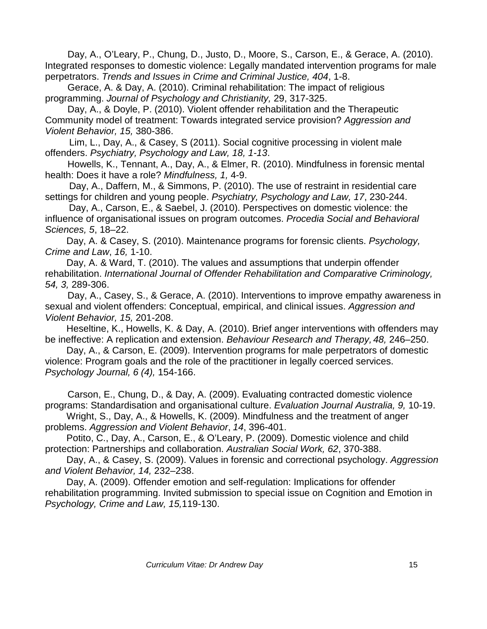Day, A., O'Leary, P., Chung, D., Justo, D., Moore, S., Carson, E., & Gerace, A. (2010). Integrated responses to domestic violence: Legally mandated intervention programs for male perpetrators. *Trends and Issues in Crime and Criminal Justice, 404*, 1-8.

Gerace, A. & Day, A. (2010). Criminal rehabilitation: The impact of religious programming. *Journal of Psychology and Christianity,* 29, 317-325.

Day, A., & Doyle, P. (2010). Violent offender rehabilitation and the Therapeutic Community model of treatment: Towards integrated service provision? *Aggression and Violent Behavior, 15,* 380-386.

Lim, L., Day, A., & Casey, S (2011). Social cognitive processing in violent male offenders. *Psychiatry, Psychology and Law, 18, 1-13*.

Howells, K., Tennant, A., Day, A., & Elmer, R. (2010). Mindfulness in forensic mental health: Does it have a role? *Mindfulness, 1,* 4-9.

Day, A., Daffern, M., & Simmons, P. (2010). The use of restraint in residential care settings for children and young people. *Psychiatry, Psychology and Law, 17*, 230-244.

 Day, A., Carson, E., & Saebel, J. (2010). Perspectives on domestic violence: the influence of organisational issues on program outcomes. *Procedia Social and Behavioral Sciences, 5*, 18–22.

Day, A. & Casey, S. (2010). Maintenance programs for forensic clients. *Psychology, Crime and Law*, *16,* 1-10.

Day, A. & Ward, T. (2010). The values and assumptions that underpin offender rehabilitation. *International Journal of Offender Rehabilitation and Comparative Criminology, 54, 3,* 289-306.

Day, A., Casey, S., & Gerace, A. (2010). Interventions to improve empathy awareness in sexual and violent offenders: Conceptual, empirical, and clinical issues. *Aggression and Violent Behavior, 15,* 201-208.

Heseltine, K., Howells, K. & Day, A. (2010). Brief anger interventions with offenders may be ineffective: A replication and extension. *Behaviour Research and Therapy, 48,* 246–250.

Day, A., & Carson, E. (2009). Intervention programs for male perpetrators of domestic violence: Program goals and the role of the practitioner in legally coerced services. *Psychology Journal, 6 (4),* 154-166.

Carson, E., Chung, D., & Day, A. (2009). Evaluating contracted domestic violence programs: Standardisation and organisational culture. *Evaluation Journal Australia, 9,* 10-19.

Wright, S., Day, A., & Howells, K. (2009). Mindfulness and the treatment of anger problems. *Aggression and Violent Behavior*, *[14](http://www.sciencedirect.com/science?_ob=PublicationURL&_tockey=%23TOC%236059%232009%23999859994%231414082%23FLA%23&_cdi=6059&_pubType=J&view=c&_auth=y&_acct=C000004058&_version=1&_urlVersion=0&_userid=32381&md5=dd909028904245e5d2610cf5617d17e6)*, 396-401.

Potito, C., Day, A., Carson, E., & O'Leary, P. (2009). Domestic violence and child protection: Partnerships and collaboration. *Australian Social Work, 62*, 370-388.

Day, A., & Casey, S. (2009). Values in forensic and correctional psychology. *Aggression and Violent Behavior, 14,* 232–238.

Day, A. (2009). Offender emotion and self-regulation: Implications for offender rehabilitation programming. Invited submission to special issue on Cognition and Emotion in *Psychology, Crime and Law, 15,*119-130.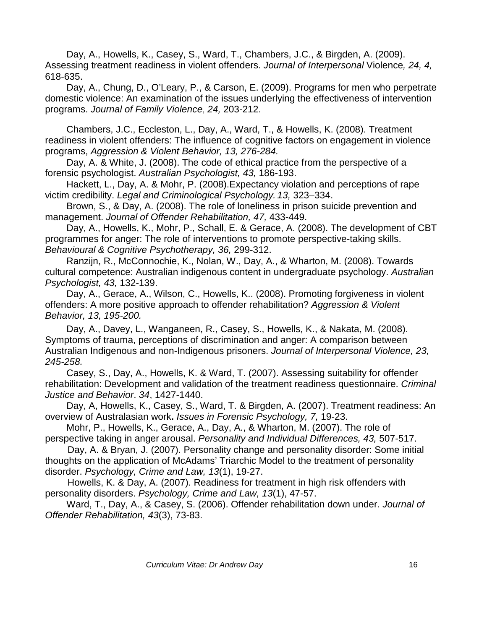Day, A., Howells, K., Casey, S., Ward, T., Chambers, J.C., & Birgden, A. (2009). Assessing treatment readiness in violent offenders. *Journal of Interpersonal* Violence*, 24, 4,*  618-635.

Day, A., Chung, D., O'Leary, P., & Carson, E. (2009). Programs for men who perpetrate domestic violence: An examination of the issues underlying the effectiveness of intervention programs. *Journal of Family Violence*, *24,* 203-212.

Chambers, J.C., Eccleston, L., Day, A., Ward, T., & Howells, K. (2008). Treatment readiness in violent offenders: The influence of cognitive factors on engagement in violence programs, *Aggression & Violent Behavior, 13, 276-284.*

Day, A. & White, J. (2008). The code of ethical practice from the perspective of a forensic psychologist. *Australian Psychologist, 43,* 186-193.

Hackett, L., Day, A. & Mohr, P. (2008).Expectancy violation and perceptions of rape victim credibility. *Legal and Criminological Psychology. 13,* 323–334.

Brown, S., & Day, A. (2008). The role of loneliness in prison suicide prevention and management. *Journal of Offender Rehabilitation, 47,* 433-449.

Day, A., Howells, K., Mohr, P., Schall, E. & Gerace, A. (2008). The development of CBT programmes for anger: The role of interventions to promote perspective-taking skills. *Behavioural & Cognitive Psychotherapy, 36,* 299-312.

Ranzijn, R., McConnochie, K., Nolan, W., Day, A., & Wharton, M. (2008). Towards cultural competence: Australian indigenous content in undergraduate psychology. *Australian Psychologist, 43,* 132-139.

Day, A., Gerace, A., Wilson, C., Howells, K.. (2008). Promoting forgiveness in violent offenders: A more positive approach to offender rehabilitation? *Aggression & Violent Behavior, 13, 195-200.*

Day, A., Davey, L., Wanganeen, R., Casey, S., Howells, K., & Nakata, M. (2008). Symptoms of trauma, perceptions of discrimination and anger: A comparison between Australian Indigenous and non-Indigenous prisoners. *Journal of Interpersonal Violence, 23, 245-258.*

Casey, S., Day, A., Howells, K. & Ward, T. (2007). Assessing suitability for offender rehabilitation: Development and validation of the treatment readiness questionnaire. *Criminal Justice and Behavior*. *34*, 1427-1440.

Day, A, Howells, K., Casey, S., Ward, T. & Birgden, A. (2007). Treatment readiness: An overview of Australasian work**.** *Issues in Forensic Psychology, 7,* 19-23.

Mohr, P., Howells, K., Gerace, A., Day, A., & Wharton, M. (2007). The role of perspective taking in anger arousal. *Personality and Individual Differences, 43,* 507-517.

Day, A. & Bryan, J. (2007). Personality change and personality disorder: Some initial thoughts on the application of McAdams' Triarchic Model to the treatment of personality disorder. *Psychology, Crime and Law, 13*(1), 19-27.

Howells, K. & Day, A. (2007). Readiness for treatment in high risk offenders with personality disorders. *Psychology, Crime and Law, 13*(1), 47-57.

Ward, T., Day, A., & Casey, S. (2006). Offender rehabilitation down under. *Journal of Offender Rehabilitation, 43*(3), 73-83.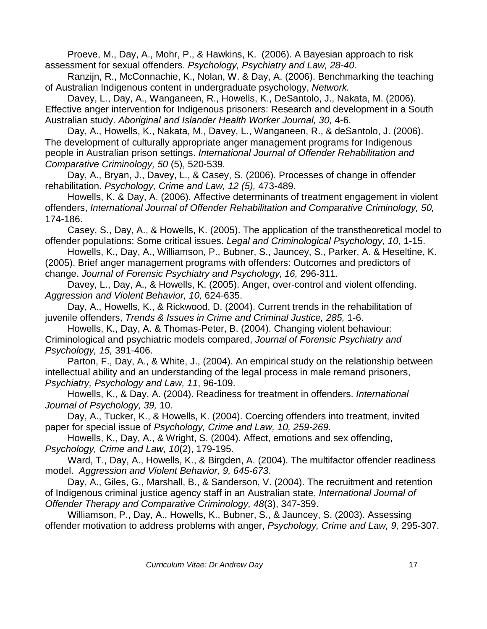Proeve, M., Day, A., Mohr, P., & Hawkins, K. (2006). A Bayesian approach to risk assessment for sexual offenders. *Psychology, Psychiatry and Law, 28-40.*

Ranzijn, R., McConnachie, K., Nolan, W. & Day, A. (2006). Benchmarking the teaching of Australian Indigenous content in undergraduate psychology, *Network.*

Davey, L., Day, A., Wanganeen, R., Howells, K., DeSantolo, J., Nakata, M. (2006). Effective anger intervention for Indigenous prisoners: Research and development in a South Australian study. *Aboriginal and Islander Health Worker Journal, 30,* 4-6.

Day, A., Howells, K., Nakata, M., Davey, L., Wanganeen, R., & deSantolo, J. (2006). The development of culturally appropriate anger management programs for Indigenous people in Australian prison settings. *International Journal of Offender Rehabilitation and Comparative Criminology, 50* (5), 520-539*.*

Day, A., Bryan, J., Davey, L., & Casey, S. (2006). Processes of change in offender rehabilitation. *Psychology, Crime and Law, 12 (5),* 473-489.

Howells, K. & Day, A. (2006). Affective determinants of treatment engagement in violent offenders, *International Journal of Offender Rehabilitation and Comparative Criminology, 50,*  174-186.

Casey, S., Day, A., & Howells, K. (2005). The application of the transtheoretical model to offender populations: Some critical issues. *Legal and Criminological Psychology, 10,* 1-15.

Howells, K., Day, A., Williamson, P., Bubner, S., Jauncey, S., Parker, A. & Heseltine, K. (2005). Brief anger management programs with offenders: Outcomes and predictors of change. *Journal of Forensic Psychiatry and Psychology, 16,* 296-311*.*

Davey, L., Day, A., & Howells, K. (2005). Anger, over-control and violent offending. *Aggression and Violent Behavior, 10,* 624-635.

Day, A., Howells, K., & Rickwood, D. (2004). Current trends in the rehabilitation of juvenile offenders, *Trends & Issues in Crime and Criminal Justice, 285,* 1-6.

Howells, K., Day, A. & Thomas-Peter, B. (2004). Changing violent behaviour: Criminological and psychiatric models compared, *Journal of Forensic Psychiatry and Psychology, 15,* 391-406.

Parton, F., Day, A., & White, J., (2004). An empirical study on the relationship between intellectual ability and an understanding of the legal process in male remand prisoners, *Psychiatry, Psychology and Law, 11*, 96-109.

Howells, K., & Day, A. (2004). Readiness for treatment in offenders. *International Journal of Psychology, 39,* 10.

Day, A., Tucker, K., & Howells, K. (2004). Coercing offenders into treatment, invited paper for special issue of *Psychology, Crime and Law, 10, 259-269*.

Howells, K., Day, A., & Wright, S. (2004). Affect, emotions and sex offending, *Psychology, Crime and Law, 10*(2), 179-195.

Ward, T., Day, A., Howells, K., & Birgden, A. (2004). The multifactor offender readiness model. *Aggression and Violent Behavior, 9, 645-673.*

Day, A., Giles, G., Marshall, B., & Sanderson, V. (2004). The recruitment and retention of Indigenous criminal justice agency staff in an Australian state, *International Journal of Offender Therapy and Comparative Criminology, 48*(3), 347-359.

Williamson, P., Day, A., Howells, K., Bubner, S., & Jauncey, S. (2003). Assessing offender motivation to address problems with anger, *Psychology, Crime and Law, 9,* 295-307.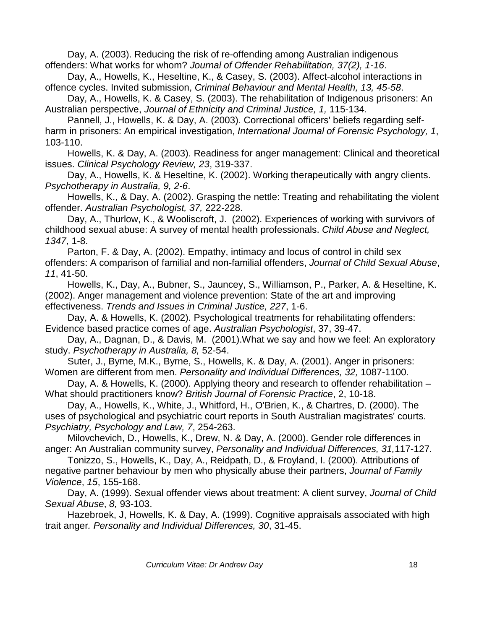Day, A. (2003). Reducing the risk of re-offending among Australian indigenous offenders: What works for whom? *Journal of Offender Rehabilitation, 37(2), 1-16*.

Day, A., Howells, K., Heseltine, K., & Casey, S. (2003). Affect-alcohol interactions in offence cycles. Invited submission, *Criminal Behaviour and Mental Health, 13, 45-58*.

Day, A., Howells, K. & Casey, S. (2003). The rehabilitation of Indigenous prisoners: An Australian perspective, *Journal of Ethnicity and Criminal Justice, 1,* 115-134*.*

Pannell, J., Howells, K. & Day, A. (2003). Correctional officers' beliefs regarding selfharm in prisoners: An empirical investigation, *International Journal of Forensic Psychology, 1*, 103-110.

Howells, K. & Day, A. (2003). Readiness for anger management: Clinical and theoretical issues. *Clinical Psychology Review, 23*, 319-337.

Day, A., Howells, K. & Heseltine, K. (2002). Working therapeutically with angry clients. *Psychotherapy in Australia, 9, 2-6*.

Howells, K., & Day, A. (2002). Grasping the nettle: Treating and rehabilitating the violent offender. *Australian Psychologist, 37,* 222-228.

Day, A., Thurlow, K., & Wooliscroft, J. (2002). Experiences of working with survivors of childhood sexual abuse: A survey of mental health professionals. *Child Abuse and Neglect, 1347*, 1-8.

Parton, F. & Day, A. (2002). Empathy, intimacy and locus of control in child sex offenders: A comparison of familial and non-familial offenders, *Journal of Child Sexual Abuse*, *11*, 41-50.

Howells, K., Day, A., Bubner, S., Jauncey, S., Williamson, P., Parker, A. & Heseltine, K. (2002). Anger management and violence prevention: State of the art and improving effectiveness. *Trends and Issues in Criminal Justice, 227*, 1-6.

Day, A. & Howells, K. (2002). Psychological treatments for rehabilitating offenders: Evidence based practice comes of age. *Australian Psychologist*, 37, 39-47.

Day, A., Dagnan, D., & Davis, M. (2001).What we say and how we feel: An exploratory study. *Psychotherapy in Australia, 8,* 52-54.

Suter, J., Byrne, M.K., Byrne, S., Howells, K. & Day, A. (2001). Anger in prisoners: Women are different from men. *Personality and Individual Differences, 32,* 1087-1100.

Day, A. & Howells, K. (2000). Applying theory and research to offender rehabilitation – What should practitioners know? *British Journal of Forensic Practice*, 2, 10-18.

Day, A., Howells, K., White, J., Whitford, H., O'Brien, K., & Chartres, D. (2000). The uses of psychological and psychiatric court reports in South Australian magistrates' courts. *Psychiatry, Psychology and Law, 7*, 254-263.

Milovchevich, D., Howells, K., Drew, N. & Day, A. (2000). Gender role differences in anger: An Australian community survey, *Personality and Individual Differences, 31,*117-127*.* 

Tonizzo, S., Howells, K., Day, A., Reidpath, D., & Froyland, I. (2000). Attributions of negative partner behaviour by men who physically abuse their partners, *Journal of Family Violence*, *15*, 155-168.

Day, A. (1999). Sexual offender views about treatment: A client survey, *Journal of Child Sexual Abuse*, *8,* 93-103.

Hazebroek, J, Howells, K. & Day, A. (1999). Cognitive appraisals associated with high trait anger*. Personality and Individual Differences, 30*, 31-45.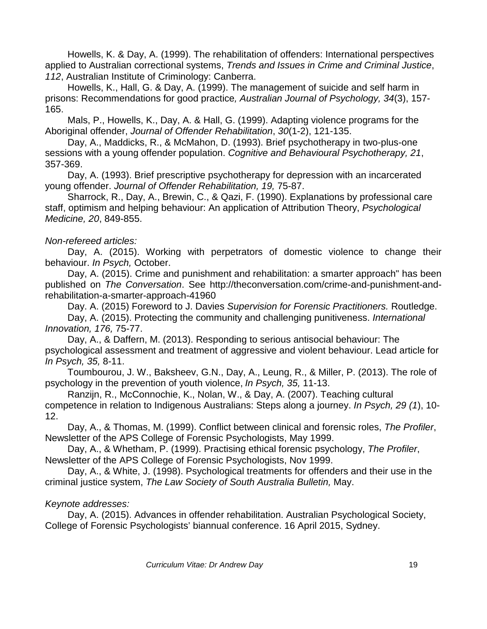Howells, K. & Day, A. (1999). The rehabilitation of offenders: International perspectives applied to Australian correctional systems, *Trends and Issues in Crime and Criminal Justice*, *112*, Australian Institute of Criminology: Canberra.

Howells, K., Hall, G. & Day, A. (1999). The management of suicide and self harm in prisons: Recommendations for good practice*, Australian Journal of Psychology, 34*(3), 157- 165.

Mals, P., Howells, K., Day, A. & Hall, G. (1999). Adapting violence programs for the Aboriginal offender, *Journal of Offender Rehabilitation*, *30*(1-2), 121-135.

Day, A., Maddicks, R., & McMahon, D. (1993). Brief psychotherapy in two-plus-one sessions with a young offender population. *Cognitive and Behavioural Psychotherapy, 21*, 357-369.

Day, A. (1993). Brief prescriptive psychotherapy for depression with an incarcerated young offender. *Journal of Offender Rehabilitation, 19,* 75-87.

Sharrock, R., Day, A., Brewin, C., & Qazi, F. (1990). Explanations by professional care staff, optimism and helping behaviour: An application of Attribution Theory, *Psychological Medicine, 20*, 849-855.

### *Non-refereed articles:*

Day, A. (2015). Working with perpetrators of domestic violence to change their behaviour. *In Psych,* October.

Day, A. (2015). Crime and punishment and rehabilitation: a smarter approach" has been published on *The Conversation*. See [http://theconversation.com/crime-and-punishment-and](http://theconversation.com/crime-and-punishment-and-rehabilitation-a-smarter-approach-41960)[rehabilitation-a-smarter-approach-41960](http://theconversation.com/crime-and-punishment-and-rehabilitation-a-smarter-approach-41960)

Day. A. (2015) Foreword to J. Davies *Supervision for Forensic Practitioners.* Routledge.

Day, A. (2015). Protecting the community and challenging punitiveness. *International Innovation, 176,* 75-77.

Day, A., & Daffern, M. (2013). Responding to serious antisocial behaviour: The psychological assessment and treatment of aggressive and violent behaviour. Lead article for *In Psych, 35,* 8-11.

Toumbourou, J. W., Baksheev, G.N., Day, A., Leung, R., & Miller, P. (2013). The role of psychology in the prevention of youth violence, *In Psych, 35,* 11-13.

Ranzijn, R., McConnochie, K., Nolan, W., & Day, A. (2007). Teaching cultural competence in relation to Indigenous Australians: Steps along a journey. *In Psych, 29 (1*), 10- 12.

Day, A., & Thomas, M. (1999). Conflict between clinical and forensic roles, *The Profiler*, Newsletter of the APS College of Forensic Psychologists, May 1999.

Day, A., & Whetham, P. (1999). Practising ethical forensic psychology, *The Profiler*, Newsletter of the APS College of Forensic Psychologists, Nov 1999.

Day, A., & White, J. (1998). Psychological treatments for offenders and their use in the criminal justice system, *The Law Society of South Australia Bulletin,* May.

# *Keynote addresses:*

Day, A. (2015). Advances in offender rehabilitation. Australian Psychological Society, College of Forensic Psychologists' biannual conference. 16 April 2015, Sydney.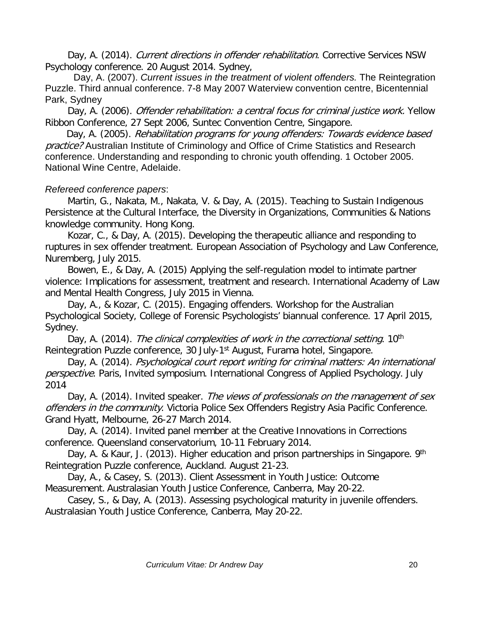Day, A. (2014). Current directions in offender rehabilitation. Corrective Services NSW Psychology conference. 20 August 2014. Sydney,

Day, A. (2007). *Current issues in the treatment of violent offenders.* The Reintegration Puzzle. Third annual conference. 7-8 May 2007 Waterview convention centre, Bicentennial Park, Sydney

Day, A. (2006). *Offender rehabilitation: a central focus for criminal justice work*. Yellow Ribbon Conference, 27 Sept 2006, Suntec Convention Centre, Singapore.

Day, A. (2005). Rehabilitation programs for young offenders: Towards evidence based practice? Australian Institute of Criminology and Office of Crime Statistics and Research conference. Understanding and responding to chronic youth offending. 1 October 2005. National Wine Centre, Adelaide.

# *Refereed conference papers*:

Martin, G., Nakata, M., Nakata, V. & Day, A. (2015). Teaching to Sustain Indigenous Persistence at the Cultural Interface, the Diversity in Organizations, Communities & Nations knowledge community. Hong Kong.

Kozar, C., & Day, A. (2015). Developing the therapeutic alliance and responding to ruptures in sex offender treatment. European Association of Psychology and Law Conference, Nuremberg, July 2015.

Bowen, E., & Day, A. (2015) Applying the self-regulation model to intimate partner violence: Implications for assessment, treatment and research. International Academy of Law and Mental Health Congress, July 2015 in Vienna.

Day, A., & Kozar, C. (2015). Engaging offenders. Workshop for the Australian Psychological Society, College of Forensic Psychologists' biannual conference. 17 April 2015, Sydney.

Day, A. (2014). The clinical complexities of work in the correctional setting. 10<sup>th</sup> Reintegration Puzzle conference, 30 July-1<sup>st</sup> August, Furama hotel, Singapore.

Day, A. (2014). Psychological court report writing for criminal matters: An international perspective. Paris, Invited symposium. International Congress of Applied Psychology. July 2014

Day, A. (2014). Invited speaker. The views of professionals on the management of sex offenders in the community. Victoria Police Sex Offenders Registry Asia Pacific Conference. Grand Hyatt, Melbourne, 26-27 March 2014.

Day, A. (2014). Invited panel member at the Creative Innovations in Corrections conference. Queensland conservatorium, 10-11 February 2014.

Day, A. & Kaur, J. (2013). Higher education and prison partnerships in Singapore. 9<sup>th</sup> Reintegration Puzzle conference, Auckland. August 21-23.

Day, A., & Casey, S. (2013). Client Assessment in Youth Justice: Outcome Measurement. Australasian Youth Justice Conference, Canberra, May 20-22.

Casey, S., & Day, A. (2013). Assessing psychological maturity in juvenile offenders. Australasian Youth Justice Conference, Canberra, May 20-22.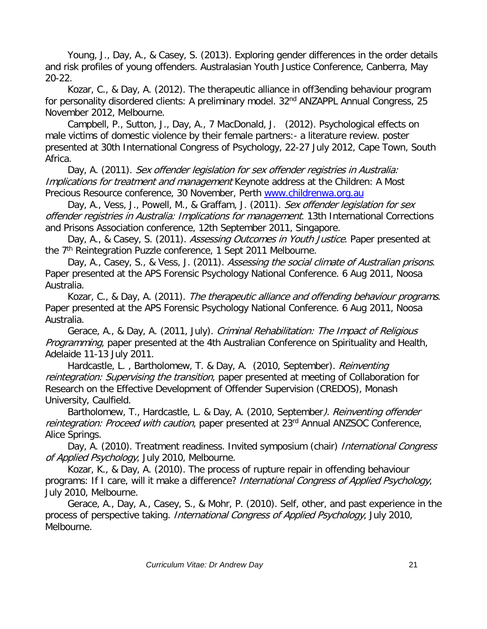Young, J., Day, A., & Casey, S. (2013). Exploring gender differences in the order details and risk profiles of young offenders. Australasian Youth Justice Conference, Canberra, May 20-22.

Kozar, C., & Day, A. (2012). The therapeutic alliance in off3ending behaviour program for personality disordered clients: A preliminary model. 32<sup>nd</sup> ANZAPPL Annual Congress, 25 November 2012, Melbourne.

Campbell, P., Sutton, J., Day, A., 7 MacDonald, J. (2012). Psychological effects on male victims of domestic violence by their female partners:- a literature review. poster presented at 30th International Congress of Psychology, 22-27 July 2012, Cape Town, South Africa.

Day, A. (2011). Sex offender legislation for sex offender registries in Australia: Implications for treatment and management Keynote address at the Children: A Most Precious Resource conference, 30 November, Perth [www.childrenwa.org.au](http://www.childrenwa.org.au/)

Day, A., Vess, J., Powell, M., & Graffam, J. (2011). Sex offender legislation for sex offender registries in Australia: Implications for management. 13th International Corrections and Prisons Association conference, 12th September 2011, Singapore.

Day, A., & Casey, S. (2011). Assessing Outcomes in Youth Justice. Paper presented at the 7<sup>th</sup> Reintegration Puzzle conference, 1 Sept 2011 Melbourne.

Day, A., Casey, S., & Vess, J. (2011). Assessing the social climate of Australian prisons. Paper presented at the APS Forensic Psychology National Conference. 6 Aug 2011, Noosa Australia.

Kozar, C., & Day, A. (2011). The therapeutic alliance and offending behaviour programs. Paper presented at the APS Forensic Psychology National Conference. 6 Aug 2011, Noosa Australia.

Gerace, A., & Day, A. (2011, July). Criminal Rehabilitation: The Impact of Religious Programming, paper presented at the 4th Australian Conference on Spirituality and Health, Adelaide 11-13 July 2011.

Hardcastle, L., Bartholomew, T. & Day, A. (2010, September). *Reinventing* reintegration: Supervising the transition, paper presented at meeting of Collaboration for Research on the Effective Development of Offender Supervision (CREDOS), Monash University, Caulfield.

Bartholomew, T., Hardcastle, L. & Day, A. (2010, September). Reinventing offender reintegration: Proceed with caution, paper presented at 23<sup>rd</sup> Annual ANZSOC Conference, Alice Springs.

Day, A. (2010). Treatment readiness. Invited symposium (chair) International Congress of Applied Psychology, July 2010, Melbourne.

Kozar, K., & Day, A. (2010). The process of rupture repair in offending behaviour programs: If I care, will it make a difference? International Congress of Applied Psychology, July 2010, Melbourne.

Gerace, A., Day, A., Casey, S., & Mohr, P. (2010). Self, other, and past experience in the process of perspective taking. *International Congress of Applied Psychology*, July 2010, Melbourne.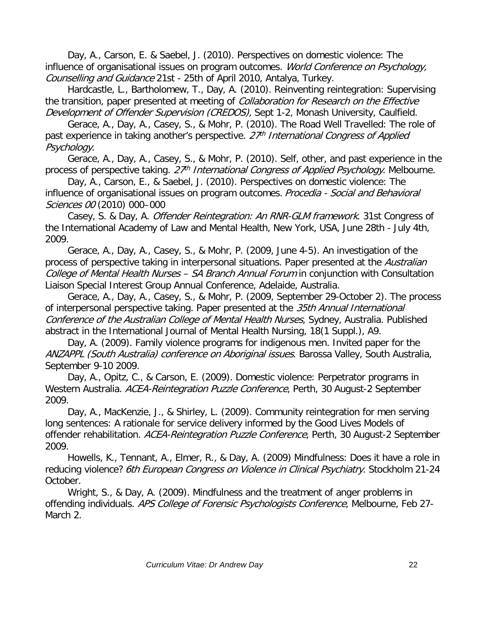Day, A., Carson, E. & Saebel, J. (2010). Perspectives on domestic violence: The influence of organisational issues on program outcomes. World Conference on Psychology, Counselling and Guidance 21st - 25th of April 2010, Antalya, Turkey.

Hardcastle, L., Bartholomew, T., Day, A. (2010). Reinventing reintegration: Supervising the transition, paper presented at meeting of *Collaboration for Research on the Effective* Development of Offender Supervision (CREDOS), Sept 1-2, Monash University, Caulfield.

Gerace, A., Day, A., Casey, S., & Mohr, P. (2010). The Road Well Travelled: The role of past experience in taking another's perspective.  $27<sup>th</sup>$  International Congress of Applied Psychology.

Gerace, A., Day, A., Casey, S., & Mohr, P. (2010). Self, other, and past experience in the process of perspective taking.  $27<sup>th</sup>$  International Congress of Applied Psychology. Melbourne.

Day, A., Carson, E., & Saebel, J. (2010). Perspectives on domestic violence: The influence of organisational issues on program outcomes. Procedia - Social and Behavioral Sciences 00 (2010) 000–000

Casey, S. & Day, A. Offender Reintegration: An RNR-GLM framework. 31st Congress of the International Academy of Law and Mental Health, New York, USA, June 28th - July 4th, 2009.

Gerace, A., Day, A., Casey, S., & Mohr, P. (2009, June 4-5). An investigation of the process of perspective taking in interpersonal situations. Paper presented at the Australian College of Mental Health Nurses – SA Branch Annual Forum in conjunction with Consultation Liaison Special Interest Group Annual Conference, Adelaide, Australia.

Gerace, A., Day, A., Casey, S., & Mohr, P. (2009, September 29-October 2). The process of interpersonal perspective taking. Paper presented at the 35th Annual International Conference of the Australian College of Mental Health Nurses, Sydney, Australia. Published abstract in the International Journal of Mental Health Nursing, 18(1 Suppl.), A9.

Day, A. (2009). Family violence programs for indigenous men. Invited paper for the ANZAPPL (South Australia) conference on Aboriginal issues. Barossa Valley, South Australia, September 9-10 2009.

Day, A., Opitz, C., & Carson, E. (2009). Domestic violence: Perpetrator programs in Western Australia. ACEA-Reintegration Puzzle Conference, Perth, 30 August-2 September 2009.

Day, A., MacKenzie, J., & Shirley, L. (2009). Community reintegration for men serving long sentences: A rationale for service delivery informed by the Good Lives Models of offender rehabilitation. ACEA-Reintegration Puzzle Conference, Perth, 30 August-2 September 2009.

Howells, K., Tennant, A., Elmer, R., & Day, A. (2009) Mindfulness: Does it have a role in reducing violence? 6th European Congress on Violence in Clinical Psychiatry. Stockholm 21-24 October.

Wright, S., & Day, A. (2009). Mindfulness and the treatment of anger problems in offending individuals. APS College of Forensic Psychologists Conference, Melbourne, Feb 27-March 2.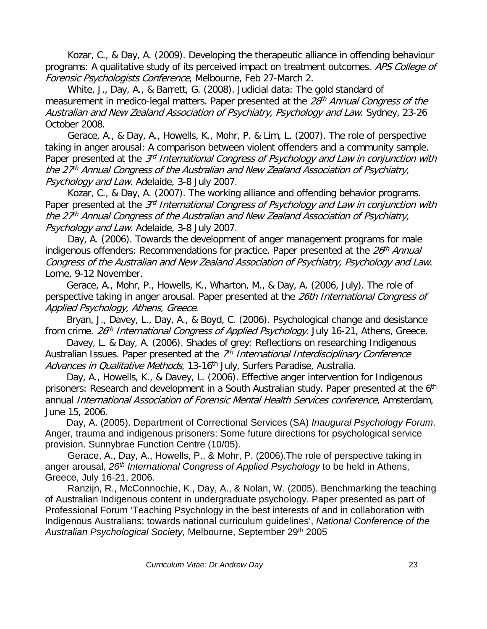Kozar, C., & Day, A. (2009). Developing the therapeutic alliance in offending behaviour programs: A qualitative study of its perceived impact on treatment outcomes. APS College of Forensic Psychologists Conference, Melbourne, Feb 27-March 2.

White, J., Day, A., & Barrett, G. (2008). Judicial data: The gold standard of measurement in medico-legal matters. Paper presented at the 28<sup>th</sup> Annual Congress of the Australian and New Zealand Association of Psychiatry, Psychology and Law. Sydney, 23-26 October 2008.

Gerace, A., & Day, A., Howells, K., Mohr, P. & Lim, L. (2007). The role of perspective taking in anger arousal: A comparison between violent offenders and a community sample. Paper presented at the 3<sup>rd</sup> International Congress of Psychology and Law in conjunction with the  $27<sup>th</sup>$  Annual Congress of the Australian and New Zealand Association of Psychiatry, Psychology and Law. Adelaide, 3-8 July 2007.

Kozar, C., & Day, A. (2007). The working alliance and offending behavior programs. Paper presented at the 3<sup>rd</sup> International Congress of Psychology and Law in conjunction with the 27<sup>th</sup> Annual Congress of the Australian and New Zealand Association of Psychiatry, Psychology and Law. Adelaide, 3-8 July 2007.

Day, A. (2006). Towards the development of anger management programs for male indigenous offenders: Recommendations for practice. Paper presented at the  $26<sup>th</sup>$  Annual Congress of the Australian and New Zealand Association of Psychiatry, Psychology and Law. Lorne, 9-12 November.

Gerace, A., Mohr, P., Howells, K., Wharton, M., & Day, A. (2006, July). The role of perspective taking in anger arousal. Paper presented at the 26th International Congress of Applied Psychology, Athens, Greece.

Bryan, J., Davey, L., Day, A., & Boyd, C. (2006). Psychological change and desistance from crime. 26<sup>th</sup> International Congress of Applied Psychology. July 16-21, Athens, Greece.

Davey, L. & Day, A. (2006). Shades of grey: Reflections on researching Indigenous Australian Issues. Paper presented at the  $\mathbb{Z}^h$  International Interdisciplinary Conference Advances in Qualitative Methods, 13-16<sup>th</sup> July, Surfers Paradise, Australia.

Day, A., Howells, K., & Davey, L. (2006). Effective anger intervention for Indigenous prisoners: Research and development in a South Australian study. Paper presented at the 6<sup>th</sup> annual International Association of Forensic Mental Health Services conference, Amsterdam, June 15, 2006.

Day, A. (2005). Department of Correctional Services (SA) *Inaugural Psychology Forum*. Anger, trauma and indigenous prisoners: Some future directions for psychological service provision. Sunnybrae Function Centre (10/05).

Gerace, A., Day, A., Howells, P., & Mohr, P. (2006).The role of perspective taking in anger arousal, *26th International Congress of Applied Psychology* to be held in Athens, Greece, July 16-21, 2006.

Ranzijn, R., McConnochie, K., Day, A., & Nolan, W. (2005). Benchmarking the teaching of Australian Indigenous content in undergraduate psychology. Paper presented as part of Professional Forum 'Teaching Psychology in the best interests of and in collaboration with Indigenous Australians: towards national curriculum guidelines', *National Conference of the Australian Psychological Society,* Melbourne, September 29th 2005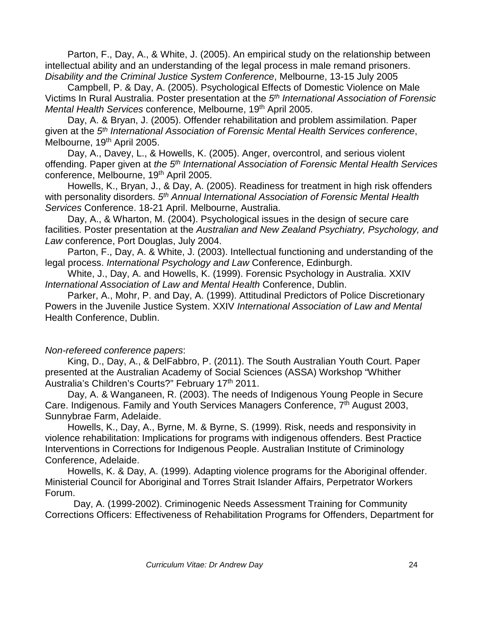Parton, F., Day, A., & White, J. (2005). An empirical study on the relationship between intellectual ability and an understanding of the legal process in male remand prisoners. *Disability and the Criminal Justice System Conference*, Melbourne, 13-15 July 2005

Campbell, P. & Day, A. (2005). Psychological Effects of Domestic Violence on Male Victims In Rural Australia. Poster presentation at the *5th International Association of Forensic Mental Health Services conference, Melbourne, 19<sup>th</sup> April 2005.* 

Day, A. & Bryan, J. (2005). Offender rehabilitation and problem assimilation. Paper given at the *5th International Association of Forensic Mental Health Services conference*, Melbourne, 19<sup>th</sup> April 2005.

Day, A., Davey, L., & Howells, K. (2005). Anger, overcontrol, and serious violent offending. Paper given at *the 5th International Association of Forensic Mental Health Services* conference, Melbourne, 19<sup>th</sup> April 2005.

Howells, K., Bryan, J., & Day, A. (2005). Readiness for treatment in high risk offenders with personality disorders. *5th Annual International Association of Forensic Mental Health Services* Conference. 18-21 April. Melbourne, Australia.

Day, A., & Wharton, M. (2004). Psychological issues in the design of secure care facilities. Poster presentation at the *Australian and New Zealand Psychiatry, Psychology, and Law* conference, Port Douglas, July 2004.

Parton, F., Day, A. & White, J. (2003). Intellectual functioning and understanding of the legal process. *International Psychology and Law* Conference, Edinburgh.

White, J., Day, A. and Howells, K. (1999). Forensic Psychology in Australia. XXIV *International Association of Law and Mental Health* Conference, Dublin.

Parker, A., Mohr, P. and Day, A. (1999). Attitudinal Predictors of Police Discretionary Powers in the Juvenile Justice System. XXIV *International Association of Law and Mental* Health Conference, Dublin.

#### *Non-refereed conference papers*:

King, D., Day, A., & DelFabbro, P. (2011). The South Australian Youth Court. Paper presented at the Australian Academy of Social Sciences (ASSA) Workshop "Whither Australia's Children's Courts?" February 17<sup>th</sup> 2011.

Day, A. & Wanganeen, R. (2003). The needs of Indigenous Young People in Secure Care. Indigenous. Family and Youth Services Managers Conference, 7<sup>th</sup> August 2003, Sunnybrae Farm, Adelaide.

Howells, K., Day, A., Byrne, M. & Byrne, S. (1999). Risk, needs and responsivity in violence rehabilitation: Implications for programs with indigenous offenders. Best Practice Interventions in Corrections for Indigenous People. Australian Institute of Criminology Conference, Adelaide.

Howells, K. & Day, A. (1999). Adapting violence programs for the Aboriginal offender. Ministerial Council for Aboriginal and Torres Strait Islander Affairs, Perpetrator Workers Forum.

Day, A. (1999-2002). Criminogenic Needs Assessment Training for Community Corrections Officers: Effectiveness of Rehabilitation Programs for Offenders, Department for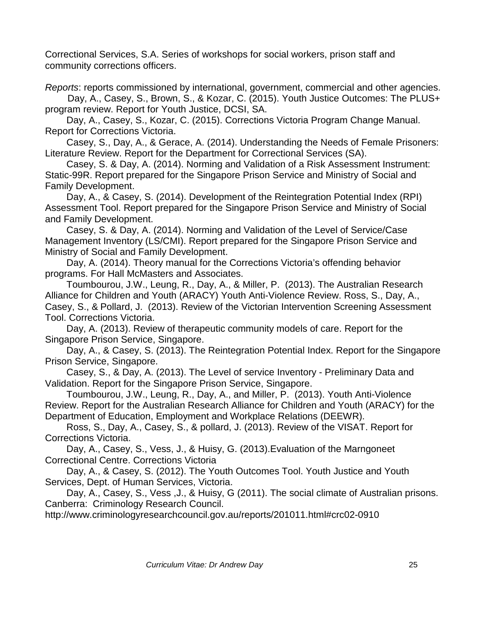Correctional Services, S.A. Series of workshops for social workers, prison staff and community corrections officers.

*Reports*: reports commissioned by international, government, commercial and other agencies. Day, A., Casey, S., Brown, S., & Kozar, C. (2015). Youth Justice Outcomes: The PLUS+ program review. Report for Youth Justice, DCSI, SA.

Day, A., Casey, S., Kozar, C. (2015). Corrections Victoria Program Change Manual. Report for Corrections Victoria.

Casey, S., Day, A., & Gerace, A. (2014). Understanding the Needs of Female Prisoners: Literature Review. Report for the Department for Correctional Services (SA).

Casey, S. & Day, A. (2014). Norming and Validation of a Risk Assessment Instrument: Static-99R. Report prepared for the Singapore Prison Service and Ministry of Social and Family Development.

Day, A., & Casey, S. (2014). Development of the Reintegration Potential Index (RPI) Assessment Tool. Report prepared for the Singapore Prison Service and Ministry of Social and Family Development.

Casey, S. & Day, A. (2014). Norming and Validation of the Level of Service/Case Management Inventory (LS/CMI). Report prepared for the Singapore Prison Service and Ministry of Social and Family Development.

Day, A. (2014). Theory manual for the Corrections Victoria's offending behavior programs. For Hall McMasters and Associates.

Toumbourou, J.W., Leung, R., Day, A., & Miller, P. (2013). The Australian Research Alliance for Children and Youth (ARACY) Youth Anti-Violence Review. Ross, S., Day, A., Casey, S., & Pollard, J. (2013). Review of the Victorian Intervention Screening Assessment Tool. Corrections Victoria.

Day, A. (2013). Review of therapeutic community models of care. Report for the Singapore Prison Service, Singapore.

Day, A., & Casey, S. (2013). The Reintegration Potential Index. Report for the Singapore Prison Service, Singapore.

Casey, S., & Day, A. (2013). The Level of service Inventory - Preliminary Data and Validation. Report for the Singapore Prison Service, Singapore.

Toumbourou, J.W., Leung, R., Day, A., and Miller, P. (2013). Youth Anti-Violence Review. Report for the Australian Research Alliance for Children and Youth (ARACY) for the Department of Education, Employment and Workplace Relations (DEEWR).

Ross, S., Day, A., Casey, S., & pollard, J. (2013). Review of the VISAT. Report for Corrections Victoria.

Day, A., Casey, S., Vess, J., & Huisy, G. (2013).Evaluation of the Marngoneet Correctional Centre. Corrections Victoria

Day, A., & Casey, S. (2012). The Youth Outcomes Tool. Youth Justice and Youth Services, Dept. of Human Services, Victoria.

Day, A., Casey, S., Vess, J., & Huisy, G (2011). The social climate of Australian prisons. Canberra: Criminology Research Council.

http://www.criminologyresearchcouncil.gov.au/reports/201011.html#crc02-0910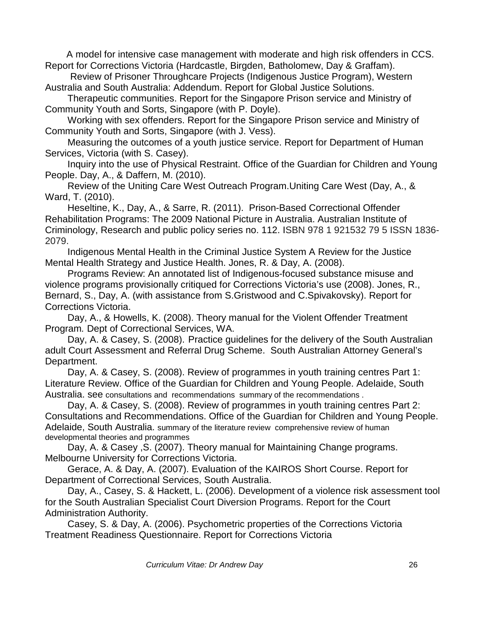A model for intensive case management with moderate and high risk offenders in CCS. Report for Corrections Victoria (Hardcastle, Birgden, Batholomew, Day & Graffam).

Review of Prisoner Throughcare Projects (Indigenous Justice Program), Western Australia and South Australia: Addendum. Report for Global Justice Solutions.

Therapeutic communities. Report for the Singapore Prison service and Ministry of Community Youth and Sorts, Singapore (with P. Doyle).

Working with sex offenders. Report for the Singapore Prison service and Ministry of Community Youth and Sorts, Singapore (with J. Vess).

Measuring the outcomes of a youth justice service. Report for Department of Human Services, Victoria (with S. Casey).

Inquiry into the use of Physical Restraint. Office of the Guardian for Children and Young People. Day, A., & Daffern, M. (2010).

Review of the Uniting Care West Outreach Program.Uniting Care West (Day, A., & Ward, T. (2010).

Heseltine, K., Day, A., & Sarre, R. (2011). Prison-Based Correctional Offender Rehabilitation Programs: The 2009 National Picture in Australia. Australian Institute of Criminology, Research and public policy series no. 112. ISBN 978 1 921532 79 5 ISSN 1836- 2079.

Indigenous Mental Health in the Criminal Justice System A Review for the Justice Mental Health Strategy and Justice Health. Jones, R. & Day, A. (2008).

Programs Review: An annotated list of Indigenous-focused substance misuse and violence programs provisionally critiqued for Corrections Victoria's use (2008). Jones, R., Bernard, S., Day, A. (with assistance from S.Gristwood and C.Spivakovsky). Report for Corrections Victoria.

Day, A., & Howells, K. (2008). Theory manual for the Violent Offender Treatment Program*.* Dept of Correctional Services, WA.

Day, A. & Casey, S. (2008). Practice guidelines for the delivery of the South Australian adult Court Assessment and Referral Drug Scheme. South Australian Attorney General's Department.

Day, A. & Casey, S. (2008). Review of programmes in youth training centres Part 1: Literature Review. Office of the Guardian for Children and Young People. Adelaide, South Australia. see consultations and [recommendations](http://www.gcyp.sa.gov.au/documents/Publications/Submissions%20and%20Reports/Review%20of%20Programmes%20in%20YTCs%20-%20Consultation%20and%20Recommendations.pdf) [summary of the recommendations](http://www.gcyp.sa.gov.au/documents/Publications/Submissions%20and%20Reports/Review%20of%20Programmes%20in%20YTCs%20-%20Consult%20and%20Recs%20Summary.pdf) .

Day, A. & Casey, S. (2008). Review of programmes in youth training centres Part 2: Consultations and Recommendations. Office of the Guardian for Children and Young People. Adelaide, South Australia. [summary of the literature review](http://www.gcyp.sa.gov.au/documents/Publications/Submissions%20and%20Reports/Review%20of%20Programmes%20in%20YTCs%20-%20Lit%20Review%20Summary.pdf) [comprehensive review of human](http://www.gcyp.sa.gov.au/documents/Publications/Submissions%20and%20Reports/Review%20of%20programs%20in%20YTCs%20-%20Literature%20Review.pdf)  [developmental theories and programmes](http://www.gcyp.sa.gov.au/documents/Publications/Submissions%20and%20Reports/Review%20of%20programs%20in%20YTCs%20-%20Literature%20Review.pdf)

Day, A. & Casey ,S. (2007). Theory manual for Maintaining Change programs. Melbourne University for Corrections Victoria.

Gerace, A. & Day, A. (2007). Evaluation of the KAIROS Short Course. Report for Department of Correctional Services, South Australia.

Day, A., Casey, S. & Hackett, L. (2006). Development of a violence risk assessment tool for the South Australian Specialist Court Diversion Programs. Report for the Court Administration Authority.

Casey, S. & Day, A. (2006). Psychometric properties of the Corrections Victoria Treatment Readiness Questionnaire. Report for Corrections Victoria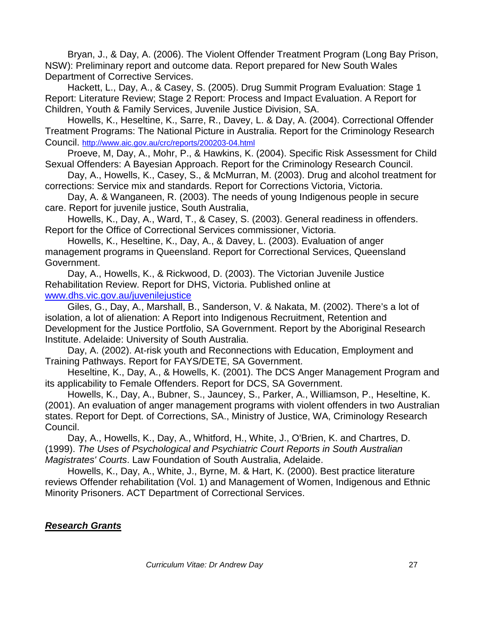Bryan, J., & Day, A. (2006). The Violent Offender Treatment Program (Long Bay Prison, NSW): Preliminary report and outcome data. Report prepared for New South Wales Department of Corrective Services.

Hackett, L., Day, A., & Casey, S. (2005). Drug Summit Program Evaluation: Stage 1 Report: Literature Review; Stage 2 Report: Process and Impact Evaluation. A Report for Children, Youth & Family Services, Juvenile Justice Division, SA.

Howells, K., Heseltine, K., Sarre, R., Davey, L. & Day, A. (2004). Correctional Offender Treatment Programs: The National Picture in Australia. Report for the Criminology Research Council. <http://www.aic.gov.au/crc/reports/200203-04.html>

Proeve, M, Day, A., Mohr, P., & Hawkins, K. (2004). Specific Risk Assessment for Child Sexual Offenders: A Bayesian Approach. Report for the Criminology Research Council.

Day, A., Howells, K., Casey, S., & McMurran, M. (2003). Drug and alcohol treatment for corrections: Service mix and standards. Report for Corrections Victoria, Victoria.

Day, A. & Wanganeen, R. (2003). The needs of young Indigenous people in secure care. Report for juvenile justice, South Australia,

Howells, K., Day, A., Ward, T., & Casey, S. (2003). General readiness in offenders. Report for the Office of Correctional Services commissioner, Victoria.

Howells, K., Heseltine, K., Day, A., & Davey, L. (2003). Evaluation of anger management programs in Queensland. Report for Correctional Services, Queensland Government.

Day, A., Howells, K., & Rickwood, D. (2003). The Victorian Juvenile Justice Rehabilitation Review. Report for DHS, Victoria. Published online at [www.dhs.vic.gov.au/juvenilejustice](http://www.dhs.vic.gov.au/juvenilejustice)

Giles, G., Day, A., Marshall, B., Sanderson, V. & Nakata, M. (2002). There's a lot of isolation, a lot of alienation: A Report into Indigenous Recruitment, Retention and Development for the Justice Portfolio, SA Government. Report by the Aboriginal Research Institute. Adelaide: University of South Australia.

Day, A. (2002). At-risk youth and Reconnections with Education, Employment and Training Pathways. Report for FAYS/DETE, SA Government.

Heseltine, K., Day, A., & Howells, K. (2001). The DCS Anger Management Program and its applicability to Female Offenders. Report for DCS, SA Government.

Howells, K., Day, A., Bubner, S., Jauncey, S., Parker, A., Williamson, P., Heseltine, K. (2001). An evaluation of anger management programs with violent offenders in two Australian states. Report for Dept. of Corrections, SA., Ministry of Justice, WA, Criminology Research Council.

Day, A., Howells, K., Day, A., Whitford, H., White, J., O'Brien, K. and Chartres, D. (1999). *The Uses of Psychological and Psychiatric Court Reports in South Australian Magistrates' Courts*. Law Foundation of South Australia, Adelaide.

Howells, K., Day, A., White, J., Byrne, M. & Hart, K. (2000). Best practice literature reviews Offender rehabilitation (Vol. 1) and Management of Women, Indigenous and Ethnic Minority Prisoners. ACT Department of Correctional Services.

#### *Research Grants*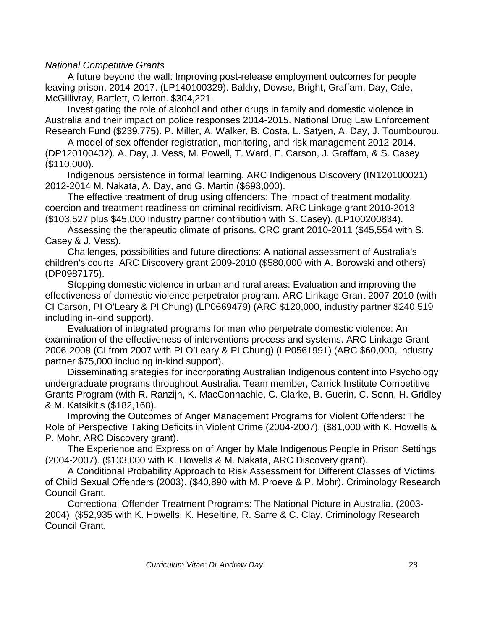#### *National Competitive Grants*

A future beyond the wall: Improving post-release employment outcomes for people leaving prison. 2014-2017. (LP140100329). Baldry, Dowse, Bright, Graffam, Day, Cale, McGillivray, Bartlett, Ollerton. \$304,221.

Investigating the role of alcohol and other drugs in family and domestic violence in Australia and their impact on police responses 2014-2015. National Drug Law Enforcement Research Fund (\$239,775). P. Miller, A. Walker, B. Costa, L. Satyen, A. Day, J. Toumbourou.

A model of sex offender registration, monitoring, and risk management 2012-2014. (DP120100432). A. Day, J. Vess, M. Powell, T. Ward, E. Carson, J. Graffam, & S. Casey (\$110,000).

Indigenous persistence in formal learning. ARC Indigenous Discovery (IN120100021) 2012-2014 M. Nakata, A. Day, and G. Martin (\$693,000).

The effective treatment of drug using offenders: The impact of treatment modality, coercion and treatment readiness on criminal recidivism. ARC Linkage grant 2010-2013 (\$103,527 plus \$45,000 industry partner contribution with S. Casey). (LP100200834).

Assessing the therapeutic climate of prisons. CRC grant 2010-2011 (\$45,554 with S. Casey & J. Vess).

Challenges, possibilities and future directions: A national assessment of Australia's children's courts. ARC Discovery grant 2009-2010 (\$580,000 with A. Borowski and others) (DP0987175).

Stopping domestic violence in urban and rural areas: Evaluation and improving the effectiveness of domestic violence perpetrator program. ARC Linkage Grant 2007-2010 (with CI Carson, PI O'Leary & PI Chung) (LP0669479) (ARC \$120,000, industry partner \$240,519 including in-kind support).

Evaluation of integrated programs for men who perpetrate domestic violence: An examination of the effectiveness of interventions process and systems. ARC Linkage Grant 2006-2008 (CI from 2007 with PI O'Leary & PI Chung) (LP0561991) (ARC \$60,000, industry partner \$75,000 including in-kind support).

Disseminating srategies for incorporating Australian Indigenous content into Psychology undergraduate programs throughout Australia. Team member, Carrick Institute Competitive Grants Program (with R. Ranzijn, K. MacConnachie, C. Clarke, B. Guerin, C. Sonn, H. Gridley & M. Katsikitis (\$182,168).

Improving the Outcomes of Anger Management Programs for Violent Offenders: The Role of Perspective Taking Deficits in Violent Crime (2004-2007). (\$81,000 with K. Howells & P. Mohr, ARC Discovery grant).

The Experience and Expression of Anger by Male Indigenous People in Prison Settings (2004-2007). (\$133,000 with K. Howells & M. Nakata, ARC Discovery grant).

A Conditional Probability Approach to Risk Assessment for Different Classes of Victims of Child Sexual Offenders (2003). (\$40,890 with M. Proeve & P. Mohr). Criminology Research Council Grant.

Correctional Offender Treatment Programs: The National Picture in Australia. (2003- 2004) (\$52,935 with K. Howells, K. Heseltine, R. Sarre & C. Clay. Criminology Research Council Grant.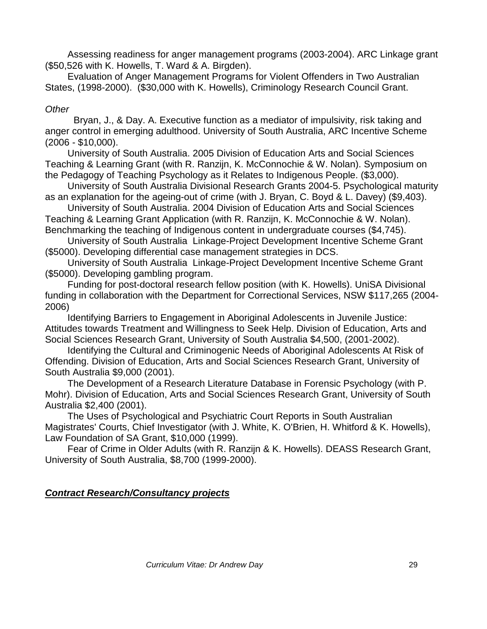Assessing readiness for anger management programs (2003-2004). ARC Linkage grant (\$50,526 with K. Howells, T. Ward & A. Birgden).

Evaluation of Anger Management Programs for Violent Offenders in Two Australian States, (1998-2000). (\$30,000 with K. Howells), Criminology Research Council Grant.

# *Other*

Bryan, J., & Day. A. Executive function as a mediator of impulsivity, risk taking and anger control in emerging adulthood. University of South Australia, ARC Incentive Scheme (2006 - \$10,000).

University of South Australia. 2005 Division of Education Arts and Social Sciences Teaching & Learning Grant (with R. Ranzijn, K. McConnochie & W. Nolan). Symposium on the Pedagogy of Teaching Psychology as it Relates to Indigenous People. (\$3,000).

University of South Australia Divisional Research Grants 2004-5. Psychological maturity as an explanation for the ageing-out of crime (with J. Bryan, C. Boyd & L. Davey) (\$9,403).

University of South Australia. 2004 Division of Education Arts and Social Sciences Teaching & Learning Grant Application (with R. Ranzijn, K. McConnochie & W. Nolan). Benchmarking the teaching of Indigenous content in undergraduate courses (\$4,745).

University of South Australia Linkage-Project Development Incentive Scheme Grant (\$5000). Developing differential case management strategies in DCS.

University of South Australia Linkage-Project Development Incentive Scheme Grant (\$5000). Developing gambling program.

Funding for post-doctoral research fellow position (with K. Howells). UniSA Divisional funding in collaboration with the Department for Correctional Services, NSW \$117,265 (2004- 2006)

Identifying Barriers to Engagement in Aboriginal Adolescents in Juvenile Justice: Attitudes towards Treatment and Willingness to Seek Help. Division of Education, Arts and Social Sciences Research Grant, University of South Australia \$4,500, (2001-2002).

Identifying the Cultural and Criminogenic Needs of Aboriginal Adolescents At Risk of Offending. Division of Education, Arts and Social Sciences Research Grant, University of South Australia \$9,000 (2001).

The Development of a Research Literature Database in Forensic Psychology (with P. Mohr). Division of Education, Arts and Social Sciences Research Grant, University of South Australia \$2,400 (2001).

The Uses of Psychological and Psychiatric Court Reports in South Australian Magistrates' Courts, Chief Investigator (with J. White, K. O'Brien, H. Whitford & K. Howells), Law Foundation of SA Grant, \$10,000 (1999).

Fear of Crime in Older Adults (with R. Ranzijn & K. Howells). DEASS Research Grant, University of South Australia, \$8,700 (1999-2000).

# *Contract Research/Consultancy projects*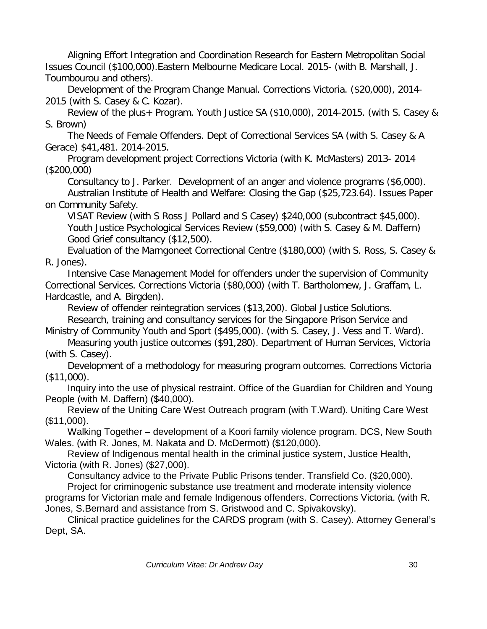Aligning Effort Integration and Coordination Research for Eastern Metropolitan Social Issues Council (\$100,000).Eastern Melbourne Medicare Local. 2015- (with B. Marshall, J. Toumbourou and others).

Development of the Program Change Manual. Corrections Victoria. (\$20,000), 2014- 2015 (with S. Casey & C. Kozar).

Review of the plus+ Program. Youth Justice SA (\$10,000), 2014-2015. (with S. Casey & S. Brown)

The Needs of Female Offenders. Dept of Correctional Services SA (with S. Casey & A Gerace) \$41,481. 2014-2015.

Program development project Corrections Victoria (with K. McMasters) 2013- 2014 (\$200,000)

Consultancy to J. Parker. Development of an anger and violence programs (\$6,000). Australian Institute of Health and Welfare: Closing the Gap (\$25,723.64). Issues Paper on Community Safety.

VISAT Review (with S Ross J Pollard and S Casey) \$240,000 (subcontract \$45,000). Youth Justice Psychological Services Review (\$59,000) (with S. Casey & M. Daffern) Good Grief consultancy (\$12,500).

Evaluation of the Marngoneet Correctional Centre (\$180,000) (with S. Ross, S. Casey & R. Jones).

Intensive Case Management Model for offenders under the supervision of Community Correctional Services. Corrections Victoria (\$80,000) (with T. Bartholomew, J. Graffam, L. Hardcastle, and A. Birgden).

Review of offender reintegration services (\$13,200). Global Justice Solutions.

Research, training and consultancy services for the Singapore Prison Service and Ministry of Community Youth and Sport (\$495,000). (with S. Casey, J. Vess and T. Ward).

Measuring youth justice outcomes (\$91,280). Department of Human Services, Victoria (with S. Casey).

Development of a methodology for measuring program outcomes. Corrections Victoria (\$11,000).

Inquiry into the use of physical restraint. Office of the Guardian for Children and Young People (with M. Daffern) (\$40,000).

Review of the Uniting Care West Outreach program (with T.Ward). Uniting Care West (\$11,000).

Walking Together – development of a Koori family violence program. DCS, New South Wales. (with R. Jones, M. Nakata and D. McDermott) (\$120,000).

Review of Indigenous mental health in the criminal justice system, Justice Health, Victoria (with R. Jones) (\$27,000).

Consultancy advice to the Private Public Prisons tender. Transfield Co. (\$20,000).

Project for criminogenic substance use treatment and moderate intensity violence programs for Victorian male and female Indigenous offenders. Corrections Victoria. (with R. Jones, S.Bernard and assistance from S. Gristwood and C. Spivakovsky).

Clinical practice guidelines for the CARDS program (with S. Casey). Attorney General's Dept, SA.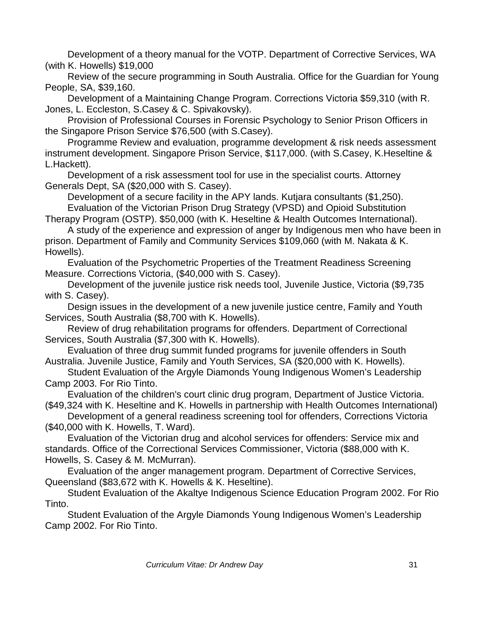Development of a theory manual for the VOTP. Department of Corrective Services, WA (with K. Howells) \$19,000

Review of the secure programming in South Australia. Office for the Guardian for Young People, SA, \$39,160.

Development of a Maintaining Change Program. Corrections Victoria \$59,310 (with R. Jones, L. Eccleston, S.Casey & C. Spivakovsky).

Provision of Professional Courses in Forensic Psychology to Senior Prison Officers in the Singapore Prison Service \$76,500 (with S.Casey).

Programme Review and evaluation, programme development & risk needs assessment instrument development. Singapore Prison Service, \$117,000. (with S.Casey, K.Heseltine & L.Hackett).

Development of a risk assessment tool for use in the specialist courts. Attorney Generals Dept, SA (\$20,000 with S. Casey).

Development of a secure facility in the APY lands. Kutjara consultants (\$1,250). Evaluation of the Victorian Prison Drug Strategy (VPSD) and Opioid Substitution

Therapy Program (OSTP). \$50,000 (with K. Heseltine & Health Outcomes International).

A study of the experience and expression of anger by Indigenous men who have been in prison. Department of Family and Community Services \$109,060 (with M. Nakata & K. Howells).

Evaluation of the Psychometric Properties of the Treatment Readiness Screening Measure. Corrections Victoria, (\$40,000 with S. Casey).

Development of the juvenile justice risk needs tool, Juvenile Justice, Victoria (\$9,735 with S. Casey).

Design issues in the development of a new juvenile justice centre, Family and Youth Services, South Australia (\$8,700 with K. Howells).

Review of drug rehabilitation programs for offenders. Department of Correctional Services, South Australia (\$7,300 with K. Howells).

Evaluation of three drug summit funded programs for juvenile offenders in South Australia. Juvenile Justice, Family and Youth Services, SA (\$20,000 with K. Howells).

Student Evaluation of the Argyle Diamonds Young Indigenous Women's Leadership Camp 2003. For Rio Tinto.

Evaluation of the children's court clinic drug program, Department of Justice Victoria. (\$49,324 with K. Heseltine and K. Howells in partnership with Health Outcomes International)

Development of a general readiness screening tool for offenders, Corrections Victoria (\$40,000 with K. Howells, T. Ward).

Evaluation of the Victorian drug and alcohol services for offenders: Service mix and standards. Office of the Correctional Services Commissioner, Victoria (\$88,000 with K. Howells, S. Casey & M. McMurran).

Evaluation of the anger management program. Department of Corrective Services, Queensland (\$83,672 with K. Howells & K. Heseltine).

Student Evaluation of the Akaltye Indigenous Science Education Program 2002. For Rio Tinto.

Student Evaluation of the Argyle Diamonds Young Indigenous Women's Leadership Camp 2002. For Rio Tinto.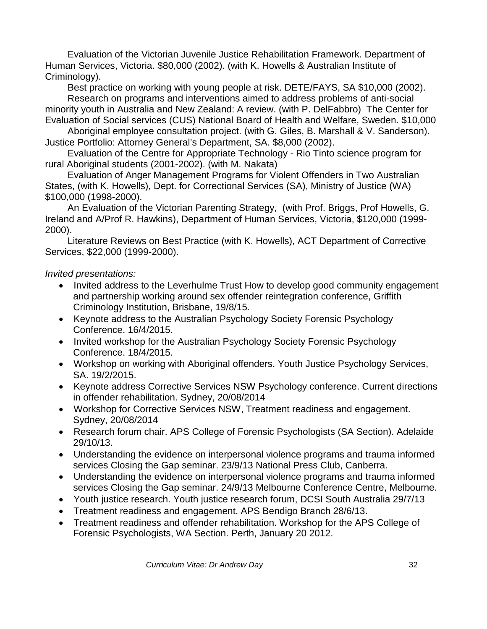Evaluation of the Victorian Juvenile Justice Rehabilitation Framework. Department of Human Services, Victoria. \$80,000 (2002). (with K. Howells & Australian Institute of Criminology).

Best practice on working with young people at risk. DETE/FAYS, SA \$10,000 (2002).

Research on programs and interventions aimed to address problems of anti-social minority youth in Australia and New Zealand: A review. (with P. DelFabbro) The Center for Evaluation of Social services (CUS) National Board of Health and Welfare, Sweden. \$10,000

Aboriginal employee consultation project. (with G. Giles, B. Marshall & V. Sanderson). Justice Portfolio: Attorney General's Department, SA. \$8,000 (2002).

Evaluation of the Centre for Appropriate Technology - Rio Tinto science program for rural Aboriginal students (2001-2002). (with M. Nakata)

Evaluation of Anger Management Programs for Violent Offenders in Two Australian States, (with K. Howells), Dept. for Correctional Services (SA), Ministry of Justice (WA) \$100,000 (1998-2000).

An Evaluation of the Victorian Parenting Strategy, (with Prof. Briggs, Prof Howells, G. Ireland and A/Prof R. Hawkins), Department of Human Services, Victoria, \$120,000 (1999- 2000).

Literature Reviews on Best Practice (with K. Howells), ACT Department of Corrective Services, \$22,000 (1999-2000).

#### *Invited presentations:*

- Invited address to the Leverhulme Trust How to develop good community engagement and partnership working around sex offender reintegration conference, Griffith Criminology Institution, Brisbane, 19/8/15.
- Keynote address to the Australian Psychology Society Forensic Psychology Conference. 16/4/2015.
- Invited workshop for the Australian Psychology Society Forensic Psychology Conference. 18/4/2015.
- Workshop on working with Aboriginal offenders. Youth Justice Psychology Services, SA. 19/2/2015.
- Keynote address Corrective Services NSW Psychology conference. Current directions in offender rehabilitation. Sydney, 20/08/2014
- Workshop for Corrective Services NSW, Treatment readiness and engagement. Sydney, 20/08/2014
- Research forum chair. APS College of Forensic Psychologists (SA Section). Adelaide 29/10/13.
- Understanding the evidence on interpersonal violence programs and trauma informed services Closing the Gap seminar. 23/9/13 National Press Club, Canberra.
- Understanding the evidence on interpersonal violence programs and trauma informed services Closing the Gap seminar. 24/9/13 Melbourne Conference Centre, Melbourne.
- Youth justice research. Youth justice research forum, DCSI South Australia 29/7/13
- Treatment readiness and engagement. APS Bendigo Branch 28/6/13.
- Treatment readiness and offender rehabilitation. Workshop for the APS College of Forensic Psychologists, WA Section. Perth, January 20 2012.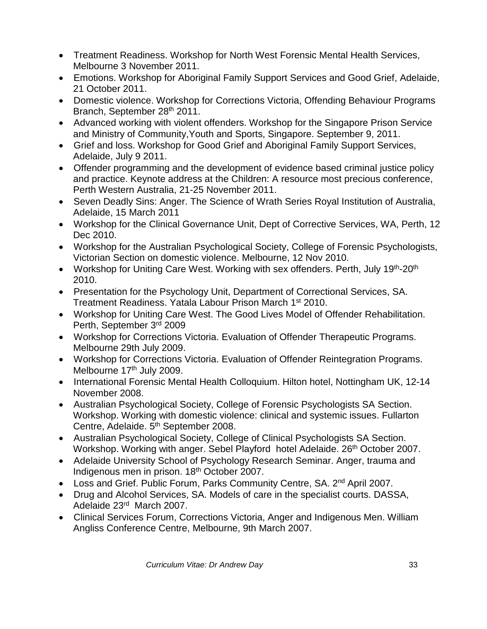- Treatment Readiness. Workshop for North West Forensic Mental Health Services, Melbourne 3 November 2011.
- Emotions. Workshop for Aboriginal Family Support Services and Good Grief, Adelaide, 21 October 2011.
- Domestic violence. Workshop for Corrections Victoria, Offending Behaviour Programs Branch, September 28th 2011.
- Advanced working with violent offenders. Workshop for the Singapore Prison Service and Ministry of Community,Youth and Sports, Singapore. September 9, 2011.
- Grief and loss. Workshop for Good Grief and Aboriginal Family Support Services, Adelaide, July 9 2011.
- Offender programming and the development of evidence based criminal justice policy and practice. Keynote address at the Children: A resource most precious conference, Perth Western Australia, 21-25 November 2011.
- Seven Deadly Sins: Anger. The Science of Wrath Series Royal Institution of Australia, Adelaide, 15 March 2011
- Workshop for the Clinical Governance Unit, Dept of Corrective Services, WA, Perth, 12 Dec 2010.
- Workshop for the Australian Psychological Society, College of Forensic Psychologists, Victorian Section on domestic violence. Melbourne, 12 Nov 2010.
- Workshop for Uniting Care West. Working with sex offenders. Perth, July 19<sup>th</sup>-20<sup>th</sup> 2010.
- Presentation for the Psychology Unit, Department of Correctional Services, SA. Treatment Readiness. Yatala Labour Prison March 1st 2010.
- Workshop for Uniting Care West. The Good Lives Model of Offender Rehabilitation. Perth, September 3rd 2009
- Workshop for Corrections Victoria. Evaluation of Offender Therapeutic Programs. Melbourne 29th July 2009.
- Workshop for Corrections Victoria. Evaluation of Offender Reintegration Programs. Melbourne 17<sup>th</sup> July 2009.
- International Forensic Mental Health Colloquium. Hilton hotel, Nottingham UK, 12-14 November 2008.
- Australian Psychological Society, College of Forensic Psychologists SA Section. Workshop. Working with domestic violence: clinical and systemic issues. Fullarton Centre, Adelaide. 5<sup>th</sup> September 2008.
- Australian Psychological Society, College of Clinical Psychologists SA Section. Workshop. Working with anger. Sebel Playford hotel Adelaide. 26<sup>th</sup> October 2007.
- Adelaide University School of Psychology Research Seminar. Anger, trauma and Indigenous men in prison. 18th October 2007.
- Loss and Grief. Public Forum, Parks Community Centre, SA. 2<sup>nd</sup> April 2007.
- Drug and Alcohol Services, SA. Models of care in the specialist courts. DASSA, Adelaide 23rd March 2007.
- Clinical Services Forum, Corrections Victoria, Anger and Indigenous Men. William Angliss Conference Centre, Melbourne, 9th March 2007.